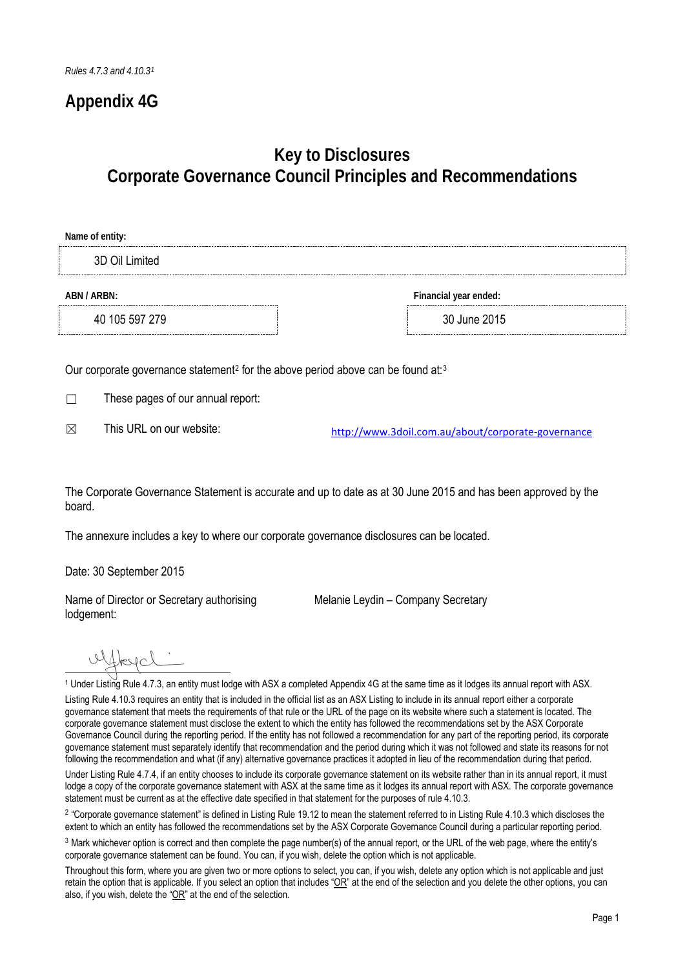### **Appendix 4G**

## **Key to Disclosures Corporate Governance Council Principles and Recommendations**

# **Name of entity:** 3D Oil Limited **ABN / ARBN: Financial year ended:** 40 105 597 279 30 June 2015

Our corporate governance statement<sup>2</sup> for the above period above can be found at:<sup>3</sup>

☐ These pages of our annual report:

 $\boxtimes$  This URL on our website: http://www.3doil.com.au/about/corporate-governance

The Corporate Governance Statement is accurate and up to date as at 30 June 2015 and has been approved by the board.

The annexure includes a key to where our corporate governance disclosures can be located.

Date: 30 September 2015

Name of Director or Secretary authorising lodgement:

Melanie Leydin – Company Secretary

ulfbeycl'

1 <sup>1</sup> Under Listing Rule 4.7.3, an entity must lodge with ASX a completed Appendix 4G at the same time as it lodges its annual report with ASX.

Listing Rule 4.10.3 requires an entity that is included in the official list as an ASX Listing to include in its annual report either a corporate governance statement that meets the requirements of that rule or the URL of the page on its website where such a statement is located. The corporate governance statement must disclose the extent to which the entity has followed the recommendations set by the ASX Corporate Governance Council during the reporting period. If the entity has not followed a recommendation for any part of the reporting period, its corporate governance statement must separately identify that recommendation and the period during which it was not followed and state its reasons for not following the recommendation and what (if any) alternative governance practices it adopted in lieu of the recommendation during that period.

Under Listing Rule 4.7.4, if an entity chooses to include its corporate governance statement on its website rather than in its annual report, it must lodge a copy of the corporate governance statement with ASX at the same time as it lodges its annual report with ASX. The corporate governance statement must be current as at the effective date specified in that statement for the purposes of rule 4.10.3.

<sup>2</sup> "Corporate governance statement" is defined in Listing Rule 19.12 to mean the statement referred to in Listing Rule 4.10.3 which discloses the extent to which an entity has followed the recommendations set by the ASX Corporate Governance Council during a particular reporting period.

<sup>3</sup> Mark whichever option is correct and then complete the page number(s) of the annual report, or the URL of the web page, where the entity's corporate governance statement can be found. You can, if you wish, delete the option which is not applicable.

Throughout this form, where you are given two or more options to select, you can, if you wish, delete any option which is not applicable and just retain the option that is applicable. If you select an option that includes " $OR$ " at the end of the selection and you delete the other options, you can also, if you wish, delete the "OR" at the end of the selection.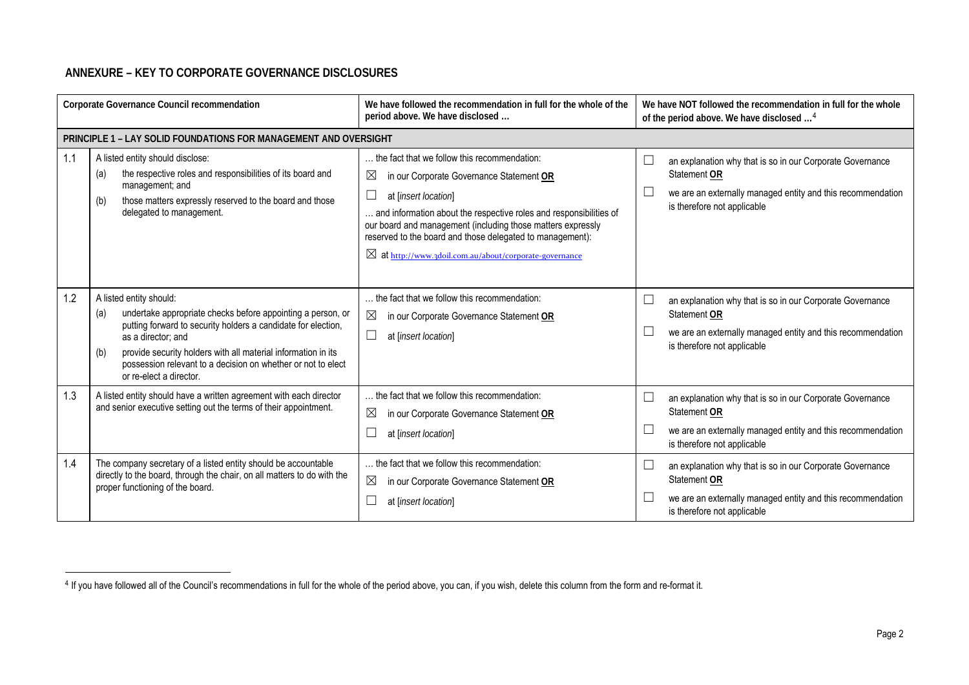### **ANNEXURE – KEY TO CORPORATE GOVERNANCE DISCLOSURES**

-

| Corporate Governance Council recommendation                                                                                                   |                                                                                                                                                                                                                                                                                                                                                         | We have followed the recommendation in full for the whole of the<br>period above. We have disclosed                                                                                                                                                                                                                                                                                          | We have NOT followed the recommendation in full for the whole<br>of the period above. We have disclosed <sup>4</sup>                                                                                                            |
|-----------------------------------------------------------------------------------------------------------------------------------------------|---------------------------------------------------------------------------------------------------------------------------------------------------------------------------------------------------------------------------------------------------------------------------------------------------------------------------------------------------------|----------------------------------------------------------------------------------------------------------------------------------------------------------------------------------------------------------------------------------------------------------------------------------------------------------------------------------------------------------------------------------------------|---------------------------------------------------------------------------------------------------------------------------------------------------------------------------------------------------------------------------------|
|                                                                                                                                               | PRINCIPLE 1 - LAY SOLID FOUNDATIONS FOR MANAGEMENT AND OVERSIGHT                                                                                                                                                                                                                                                                                        |                                                                                                                                                                                                                                                                                                                                                                                              |                                                                                                                                                                                                                                 |
| 1.1                                                                                                                                           | A listed entity should disclose:<br>the respective roles and responsibilities of its board and<br>(a)<br>management; and<br>those matters expressly reserved to the board and those<br>(b)<br>delegated to management.                                                                                                                                  | the fact that we follow this recommendation:<br>$\boxtimes$<br>in our Corporate Governance Statement OR<br>at [insert location]<br>and information about the respective roles and responsibilities of<br>our board and management (including those matters expressly<br>reserved to the board and those delegated to management):<br>⊠ at http://www.3doil.com.au/about/corporate-governance | └<br>an explanation why that is so in our Corporate Governance<br>Statement OR<br>L<br>we are an externally managed entity and this recommendation<br>is therefore not applicable                                               |
| 1.2                                                                                                                                           | A listed entity should:<br>undertake appropriate checks before appointing a person, or<br>(a)<br>putting forward to security holders a candidate for election,<br>as a director; and<br>provide security holders with all material information in its<br>(b)<br>possession relevant to a decision on whether or not to elect<br>or re-elect a director. | the fact that we follow this recommendation:<br>⊠<br>in our Corporate Governance Statement OR<br>$\Box$<br>at [insert location]                                                                                                                                                                                                                                                              | $\overline{\phantom{a}}$<br>an explanation why that is so in our Corporate Governance<br>Statement OR<br>$\overline{\phantom{a}}$<br>we are an externally managed entity and this recommendation<br>is therefore not applicable |
| 1.3<br>A listed entity should have a written agreement with each director<br>and senior executive setting out the terms of their appointment. |                                                                                                                                                                                                                                                                                                                                                         | the fact that we follow this recommendation:<br>⊠<br>in our Corporate Governance Statement OR<br>$\Box$<br>at [insert location]                                                                                                                                                                                                                                                              | $\overline{\phantom{a}}$<br>an explanation why that is so in our Corporate Governance<br>Statement OR<br>$\overline{\phantom{a}}$<br>we are an externally managed entity and this recommendation<br>is therefore not applicable |
| 1.4                                                                                                                                           | The company secretary of a listed entity should be accountable<br>directly to the board, through the chair, on all matters to do with the<br>proper functioning of the board.                                                                                                                                                                           | the fact that we follow this recommendation:<br>$\boxtimes$<br>in our Corporate Governance Statement OR<br>L<br>at [insert location]                                                                                                                                                                                                                                                         | an explanation why that is so in our Corporate Governance<br>└<br>Statement OR<br>we are an externally managed entity and this recommendation<br>∟<br>is therefore not applicable                                               |

<sup>&</sup>lt;sup>4</sup> If you have followed all of the Council's recommendations in full for the whole of the period above, you can, if you wish, delete this column from the form and re-format it.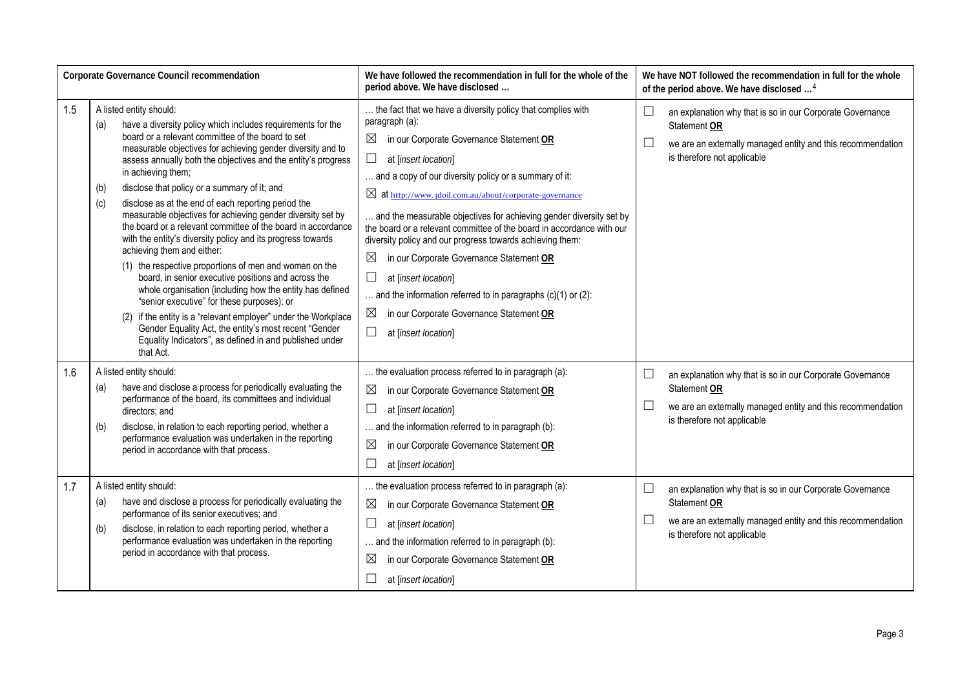| <b>Corporate Governance Council recommendation</b> |                                                                                                                                                                                                                                                                                                                                                                                                                                                                                                                                                                                                                                                                                                                                                                                                                                                                                                                                                                                                                                                                                         | We have followed the recommendation in full for the whole of the<br>period above. We have disclosed                                                                                                                                                                                                                                                                                                                                                                                                                                                                                                                                                                                                                                                               | We have NOT followed the recommendation in full for the whole<br>of the period above. We have disclosed <sup>4</sup>                                                                                          |
|----------------------------------------------------|-----------------------------------------------------------------------------------------------------------------------------------------------------------------------------------------------------------------------------------------------------------------------------------------------------------------------------------------------------------------------------------------------------------------------------------------------------------------------------------------------------------------------------------------------------------------------------------------------------------------------------------------------------------------------------------------------------------------------------------------------------------------------------------------------------------------------------------------------------------------------------------------------------------------------------------------------------------------------------------------------------------------------------------------------------------------------------------------|-------------------------------------------------------------------------------------------------------------------------------------------------------------------------------------------------------------------------------------------------------------------------------------------------------------------------------------------------------------------------------------------------------------------------------------------------------------------------------------------------------------------------------------------------------------------------------------------------------------------------------------------------------------------------------------------------------------------------------------------------------------------|---------------------------------------------------------------------------------------------------------------------------------------------------------------------------------------------------------------|
| 1.5                                                | A listed entity should:<br>have a diversity policy which includes requirements for the<br>(a)<br>board or a relevant committee of the board to set<br>measurable objectives for achieving gender diversity and to<br>assess annually both the objectives and the entity's progress<br>in achieving them;<br>disclose that policy or a summary of it; and<br>(b)<br>(c)<br>disclose as at the end of each reporting period the<br>measurable objectives for achieving gender diversity set by<br>the board or a relevant committee of the board in accordance<br>with the entity's diversity policy and its progress towards<br>achieving them and either:<br>(1) the respective proportions of men and women on the<br>board, in senior executive positions and across the<br>whole organisation (including how the entity has defined<br>"senior executive" for these purposes); or<br>(2) if the entity is a "relevant employer" under the Workplace<br>Gender Equality Act, the entity's most recent "Gender<br>Equality Indicators", as defined in and published under<br>that Act. | the fact that we have a diversity policy that complies with<br>paragraph (a):<br>$\boxtimes$<br>in our Corporate Governance Statement OR<br>$\Box$<br>at [insert location]<br>and a copy of our diversity policy or a summary of it:<br>⊠ at http://www.3doil.com.au/about/corporate-governance<br>and the measurable objectives for achieving gender diversity set by<br>the board or a relevant committee of the board in accordance with our<br>diversity policy and our progress towards achieving them:<br>$\boxtimes$<br>in our Corporate Governance Statement OR<br>$\Box$<br>at [insert location]<br>and the information referred to in paragraphs $(c)(1)$ or $(2)$ :<br>$\boxtimes$<br>in our Corporate Governance Statement OR<br>at [insert location] | $\overline{\phantom{a}}$<br>an explanation why that is so in our Corporate Governance<br>Statement OR<br>$\Box$<br>we are an externally managed entity and this recommendation<br>is therefore not applicable |
| 1.6                                                | A listed entity should:<br>have and disclose a process for periodically evaluating the<br>(a)<br>performance of the board, its committees and individual<br>directors; and<br>disclose, in relation to each reporting period, whether a<br>(b)<br>performance evaluation was undertaken in the reporting<br>period in accordance with that process.                                                                                                                                                                                                                                                                                                                                                                                                                                                                                                                                                                                                                                                                                                                                     | the evaluation process referred to in paragraph (a):<br>$\boxtimes$<br>in our Corporate Governance Statement OR<br>at [insert location]<br>and the information referred to in paragraph (b):<br>$\boxtimes$<br>in our Corporate Governance Statement OR<br>at [insert location]                                                                                                                                                                                                                                                                                                                                                                                                                                                                                   | $\Box$<br>an explanation why that is so in our Corporate Governance<br>Statement OR<br>$\Box$<br>we are an externally managed entity and this recommendation<br>is therefore not applicable                   |
| 1.7                                                | A listed entity should:<br>have and disclose a process for periodically evaluating the<br>(a)<br>performance of its senior executives; and<br>disclose, in relation to each reporting period, whether a<br>(b)<br>performance evaluation was undertaken in the reporting<br>period in accordance with that process.                                                                                                                                                                                                                                                                                                                                                                                                                                                                                                                                                                                                                                                                                                                                                                     | the evaluation process referred to in paragraph (a):<br>$\boxtimes$<br>in our Corporate Governance Statement OR<br>at [insert location]<br>and the information referred to in paragraph (b):<br>$\boxtimes$<br>in our Corporate Governance Statement OR<br>at [insert location]                                                                                                                                                                                                                                                                                                                                                                                                                                                                                   | $\Box$<br>an explanation why that is so in our Corporate Governance<br>Statement OR<br>$\Box$<br>we are an externally managed entity and this recommendation<br>is therefore not applicable                   |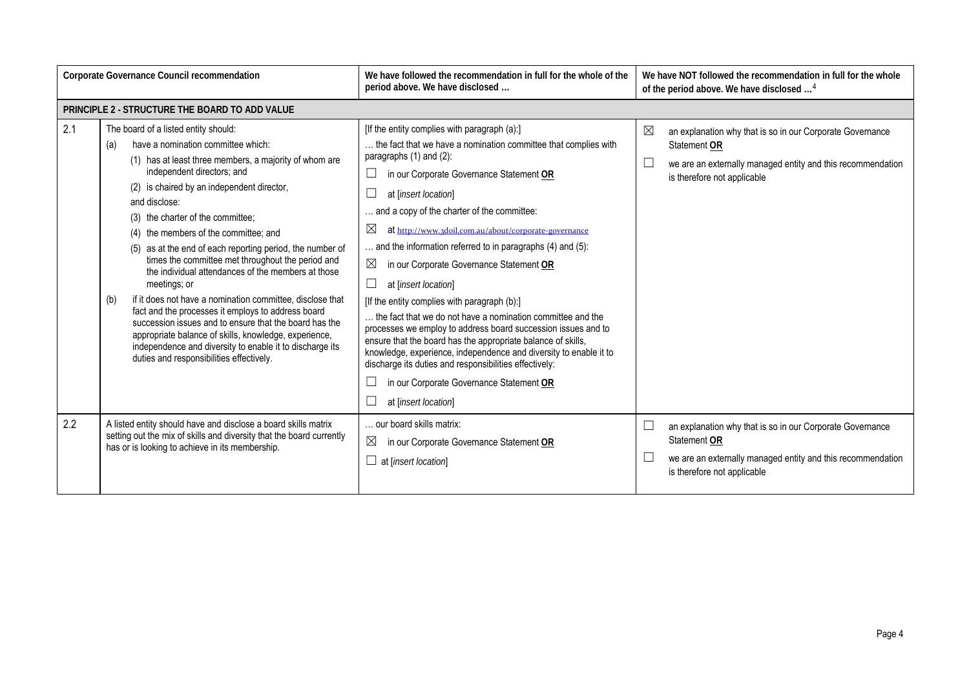| Corporate Governance Council recommendation |                                                                                                                                                                                                                                                                                                                                                                                                                                                                                                                                                                                                                                                                                                                                                                                                                                                                     | We have followed the recommendation in full for the whole of the<br>period above. We have disclosed                                                                                                                                                                                                                                                                                                                                                                                                                                                                                                                                                                                                                                                                                                                                                                                                                                  | We have NOT followed the recommendation in full for the whole<br>of the period above. We have disclosed <sup>4</sup>                                                         |
|---------------------------------------------|---------------------------------------------------------------------------------------------------------------------------------------------------------------------------------------------------------------------------------------------------------------------------------------------------------------------------------------------------------------------------------------------------------------------------------------------------------------------------------------------------------------------------------------------------------------------------------------------------------------------------------------------------------------------------------------------------------------------------------------------------------------------------------------------------------------------------------------------------------------------|--------------------------------------------------------------------------------------------------------------------------------------------------------------------------------------------------------------------------------------------------------------------------------------------------------------------------------------------------------------------------------------------------------------------------------------------------------------------------------------------------------------------------------------------------------------------------------------------------------------------------------------------------------------------------------------------------------------------------------------------------------------------------------------------------------------------------------------------------------------------------------------------------------------------------------------|------------------------------------------------------------------------------------------------------------------------------------------------------------------------------|
|                                             | PRINCIPLE 2 - STRUCTURE THE BOARD TO ADD VALUE                                                                                                                                                                                                                                                                                                                                                                                                                                                                                                                                                                                                                                                                                                                                                                                                                      |                                                                                                                                                                                                                                                                                                                                                                                                                                                                                                                                                                                                                                                                                                                                                                                                                                                                                                                                      |                                                                                                                                                                              |
| 2.1                                         | The board of a listed entity should:<br>have a nomination committee which:<br>(a)<br>(1) has at least three members, a majority of whom are<br>independent directors; and<br>(2) is chaired by an independent director,<br>and disclose:<br>(3) the charter of the committee;<br>(4) the members of the committee; and<br>(5) as at the end of each reporting period, the number of<br>times the committee met throughout the period and<br>the individual attendances of the members at those<br>meetings; or<br>if it does not have a nomination committee, disclose that<br>(b)<br>fact and the processes it employs to address board<br>succession issues and to ensure that the board has the<br>appropriate balance of skills, knowledge, experience,<br>independence and diversity to enable it to discharge its<br>duties and responsibilities effectively. | [If the entity complies with paragraph (a):]<br>the fact that we have a nomination committee that complies with<br>paragraphs $(1)$ and $(2)$ :<br>in our Corporate Governance Statement OR<br>at [insert location]<br>and a copy of the charter of the committee:<br>⊠<br>at http://www.3doil.com.au/about/corporate-governance<br>and the information referred to in paragraphs (4) and (5):<br>⊠<br>in our Corporate Governance Statement OR<br>$\Box$<br>at [insert location]<br>[If the entity complies with paragraph (b):]<br>the fact that we do not have a nomination committee and the<br>processes we employ to address board succession issues and to<br>ensure that the board has the appropriate balance of skills,<br>knowledge, experience, independence and diversity to enable it to<br>discharge its duties and responsibilities effectively:<br>in our Corporate Governance Statement OR<br>at [insert location] | ⊠<br>an explanation why that is so in our Corporate Governance<br>Statement OR<br>we are an externally managed entity and this recommendation<br>is therefore not applicable |
| 2.2                                         | A listed entity should have and disclose a board skills matrix<br>setting out the mix of skills and diversity that the board currently<br>has or is looking to achieve in its membership.                                                                                                                                                                                                                                                                                                                                                                                                                                                                                                                                                                                                                                                                           | our board skills matrix:<br>⊠<br>in our Corporate Governance Statement OR<br>$\Box$ at [insert location]                                                                                                                                                                                                                                                                                                                                                                                                                                                                                                                                                                                                                                                                                                                                                                                                                             | an explanation why that is so in our Corporate Governance<br>Statement OR<br>we are an externally managed entity and this recommendation<br>is therefore not applicable      |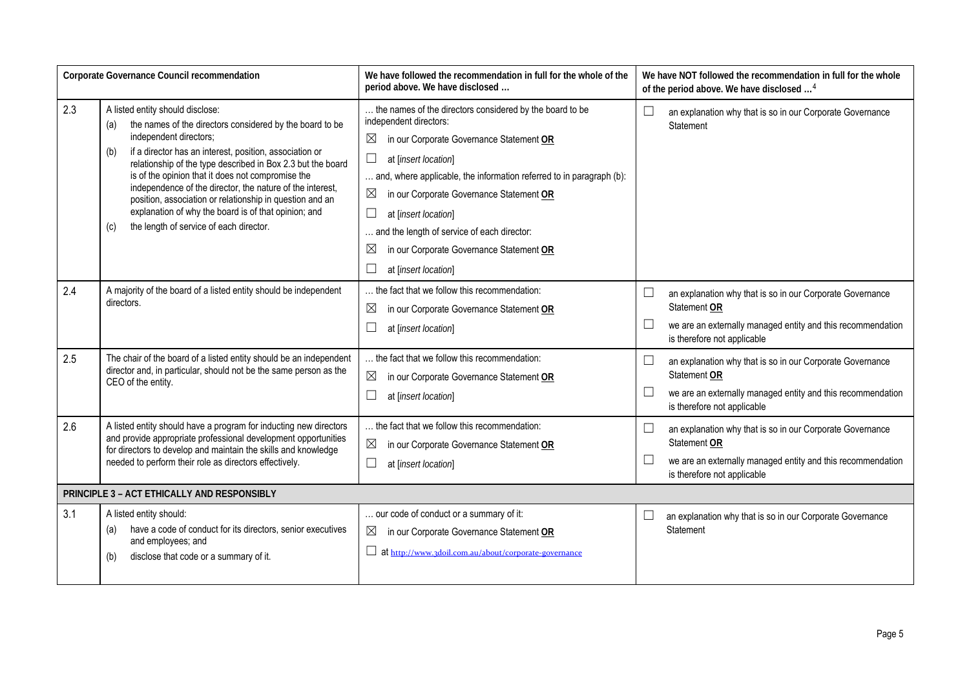| Corporate Governance Council recommendation                                                                                                                                                                                                                            |                                                                                                                                                                                                                                                                                                                                                                                                                                                                                                                                                        | We have followed the recommendation in full for the whole of the<br>period above. We have disclosed                                                                                                                                                                                                                                                                                                                                            |                  | We have NOT followed the recommendation in full for the whole<br>of the period above. We have disclosed <sup>4</sup>                                                    |
|------------------------------------------------------------------------------------------------------------------------------------------------------------------------------------------------------------------------------------------------------------------------|--------------------------------------------------------------------------------------------------------------------------------------------------------------------------------------------------------------------------------------------------------------------------------------------------------------------------------------------------------------------------------------------------------------------------------------------------------------------------------------------------------------------------------------------------------|------------------------------------------------------------------------------------------------------------------------------------------------------------------------------------------------------------------------------------------------------------------------------------------------------------------------------------------------------------------------------------------------------------------------------------------------|------------------|-------------------------------------------------------------------------------------------------------------------------------------------------------------------------|
| 2.3                                                                                                                                                                                                                                                                    | A listed entity should disclose:<br>the names of the directors considered by the board to be<br>(a)<br>independent directors;<br>if a director has an interest, position, association or<br>(b)<br>relationship of the type described in Box 2.3 but the board<br>is of the opinion that it does not compromise the<br>independence of the director, the nature of the interest,<br>position, association or relationship in question and an<br>explanation of why the board is of that opinion; and<br>the length of service of each director.<br>(c) | the names of the directors considered by the board to be<br>independent directors:<br>$\boxtimes$<br>in our Corporate Governance Statement OR<br>at [insert location]<br>and, where applicable, the information referred to in paragraph (b):<br>⊠<br>in our Corporate Governance Statement OR<br>at [insert location]<br>and the length of service of each director:<br>⊠<br>in our Corporate Governance Statement OR<br>at [insert location] |                  | an explanation why that is so in our Corporate Governance<br>Statement                                                                                                  |
| 2.4                                                                                                                                                                                                                                                                    | A majority of the board of a listed entity should be independent<br>directors.                                                                                                                                                                                                                                                                                                                                                                                                                                                                         | the fact that we follow this recommendation:<br>$\boxtimes$<br>in our Corporate Governance Statement OR<br>at [insert location]                                                                                                                                                                                                                                                                                                                | L                | an explanation why that is so in our Corporate Governance<br>Statement OR<br>we are an externally managed entity and this recommendation<br>is therefore not applicable |
| 2.5                                                                                                                                                                                                                                                                    | The chair of the board of a listed entity should be an independent<br>director and, in particular, should not be the same person as the<br>CEO of the entity.                                                                                                                                                                                                                                                                                                                                                                                          | the fact that we follow this recommendation:<br>$\boxtimes$<br>in our Corporate Governance Statement OR<br>at [insert location]                                                                                                                                                                                                                                                                                                                | $\Box$           | an explanation why that is so in our Corporate Governance<br>Statement OR<br>we are an externally managed entity and this recommendation<br>is therefore not applicable |
| 2.6<br>A listed entity should have a program for inducting new directors<br>and provide appropriate professional development opportunities<br>for directors to develop and maintain the skills and knowledge<br>needed to perform their role as directors effectively. |                                                                                                                                                                                                                                                                                                                                                                                                                                                                                                                                                        | the fact that we follow this recommendation:<br>$\boxtimes$<br>in our Corporate Governance Statement OR<br>at [insert location]                                                                                                                                                                                                                                                                                                                | $\Box$<br>$\Box$ | an explanation why that is so in our Corporate Governance<br>Statement OR<br>we are an externally managed entity and this recommendation<br>is therefore not applicable |
| PRINCIPLE 3 - ACT ETHICALLY AND RESPONSIBLY                                                                                                                                                                                                                            |                                                                                                                                                                                                                                                                                                                                                                                                                                                                                                                                                        |                                                                                                                                                                                                                                                                                                                                                                                                                                                |                  |                                                                                                                                                                         |
| 3.1                                                                                                                                                                                                                                                                    | A listed entity should:<br>have a code of conduct for its directors, senior executives<br>(a)<br>and employees; and<br>disclose that code or a summary of it.<br>(b)                                                                                                                                                                                                                                                                                                                                                                                   | our code of conduct or a summary of it:<br>in our Corporate Governance Statement OR<br>$\boxtimes$<br>at http://www.3doil.com.au/about/corporate-governance                                                                                                                                                                                                                                                                                    | $\Box$           | an explanation why that is so in our Corporate Governance<br>Statement                                                                                                  |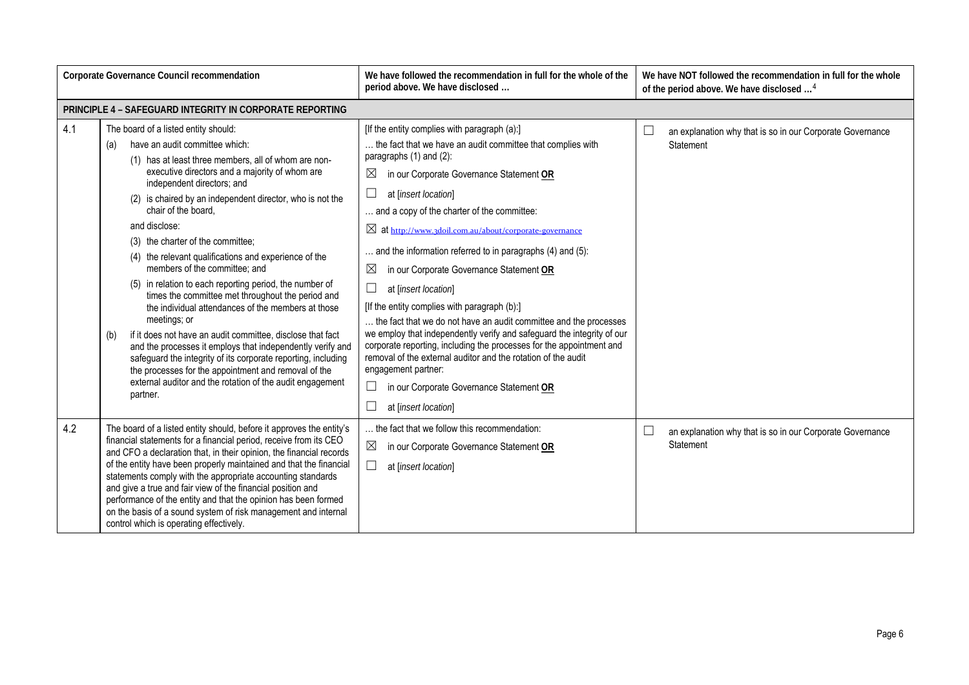| Corporate Governance Council recommendation                                                                                                                                                                                                                                                                                                                                                                                                                                                                                                                                                                |                                                                                                                                                                                                                                                                                                                                                                                                                                                                                                                                                                                                                                                                                                                                                                                                                                                                                                                                                                                      | We have followed the recommendation in full for the whole of the<br>We have NOT followed the recommendation in full for the whole<br>period above. We have disclosed<br>of the period above. We have disclosed <sup>4</sup>                                                                                                                                                                                                                                                                                                                                                                                                                                                                                                                                                                                                                                                                                                          |                                                                                  |  |  |
|------------------------------------------------------------------------------------------------------------------------------------------------------------------------------------------------------------------------------------------------------------------------------------------------------------------------------------------------------------------------------------------------------------------------------------------------------------------------------------------------------------------------------------------------------------------------------------------------------------|--------------------------------------------------------------------------------------------------------------------------------------------------------------------------------------------------------------------------------------------------------------------------------------------------------------------------------------------------------------------------------------------------------------------------------------------------------------------------------------------------------------------------------------------------------------------------------------------------------------------------------------------------------------------------------------------------------------------------------------------------------------------------------------------------------------------------------------------------------------------------------------------------------------------------------------------------------------------------------------|--------------------------------------------------------------------------------------------------------------------------------------------------------------------------------------------------------------------------------------------------------------------------------------------------------------------------------------------------------------------------------------------------------------------------------------------------------------------------------------------------------------------------------------------------------------------------------------------------------------------------------------------------------------------------------------------------------------------------------------------------------------------------------------------------------------------------------------------------------------------------------------------------------------------------------------|----------------------------------------------------------------------------------|--|--|
| PRINCIPLE 4 - SAFEGUARD INTEGRITY IN CORPORATE REPORTING                                                                                                                                                                                                                                                                                                                                                                                                                                                                                                                                                   |                                                                                                                                                                                                                                                                                                                                                                                                                                                                                                                                                                                                                                                                                                                                                                                                                                                                                                                                                                                      |                                                                                                                                                                                                                                                                                                                                                                                                                                                                                                                                                                                                                                                                                                                                                                                                                                                                                                                                      |                                                                                  |  |  |
| 4.1                                                                                                                                                                                                                                                                                                                                                                                                                                                                                                                                                                                                        | The board of a listed entity should:<br>have an audit committee which:<br>(a)<br>(1) has at least three members, all of whom are non-<br>executive directors and a majority of whom are<br>independent directors; and<br>(2) is chaired by an independent director, who is not the<br>chair of the board.<br>and disclose:<br>(3) the charter of the committee;<br>(4) the relevant qualifications and experience of the<br>members of the committee; and<br>(5) in relation to each reporting period, the number of<br>times the committee met throughout the period and<br>the individual attendances of the members at those<br>meetings; or<br>if it does not have an audit committee, disclose that fact<br>(b)<br>and the processes it employs that independently verify and<br>safeguard the integrity of its corporate reporting, including<br>the processes for the appointment and removal of the<br>external auditor and the rotation of the audit engagement<br>partner. | [If the entity complies with paragraph (a):]<br>the fact that we have an audit committee that complies with<br>paragraphs (1) and (2):<br>$\bowtie$<br>in our Corporate Governance Statement OR<br>⊔<br>at [insert location]<br>and a copy of the charter of the committee:<br>⊠ at http://www.3doil.com.au/about/corporate-governance<br>and the information referred to in paragraphs (4) and (5):<br>$\boxtimes$<br>in our Corporate Governance Statement OR<br>at [insert location]<br>[If the entity complies with paragraph (b):]<br>the fact that we do not have an audit committee and the processes<br>we employ that independently verify and safeguard the integrity of our<br>corporate reporting, including the processes for the appointment and<br>removal of the external auditor and the rotation of the audit<br>engagement partner:<br>in our Corporate Governance Statement OR<br>$\Box$<br>at [insert location] | $\Box$<br>an explanation why that is so in our Corporate Governance<br>Statement |  |  |
| 4.2<br>The board of a listed entity should, before it approves the entity's<br>financial statements for a financial period, receive from its CEO<br>and CFO a declaration that, in their opinion, the financial records<br>of the entity have been properly maintained and that the financial<br>statements comply with the appropriate accounting standards<br>and give a true and fair view of the financial position and<br>performance of the entity and that the opinion has been formed<br>on the basis of a sound system of risk management and internal<br>control which is operating effectively. |                                                                                                                                                                                                                                                                                                                                                                                                                                                                                                                                                                                                                                                                                                                                                                                                                                                                                                                                                                                      | the fact that we follow this recommendation:<br>⊠<br>in our Corporate Governance Statement OR<br>at [insert location]                                                                                                                                                                                                                                                                                                                                                                                                                                                                                                                                                                                                                                                                                                                                                                                                                | $\Box$<br>an explanation why that is so in our Corporate Governance<br>Statement |  |  |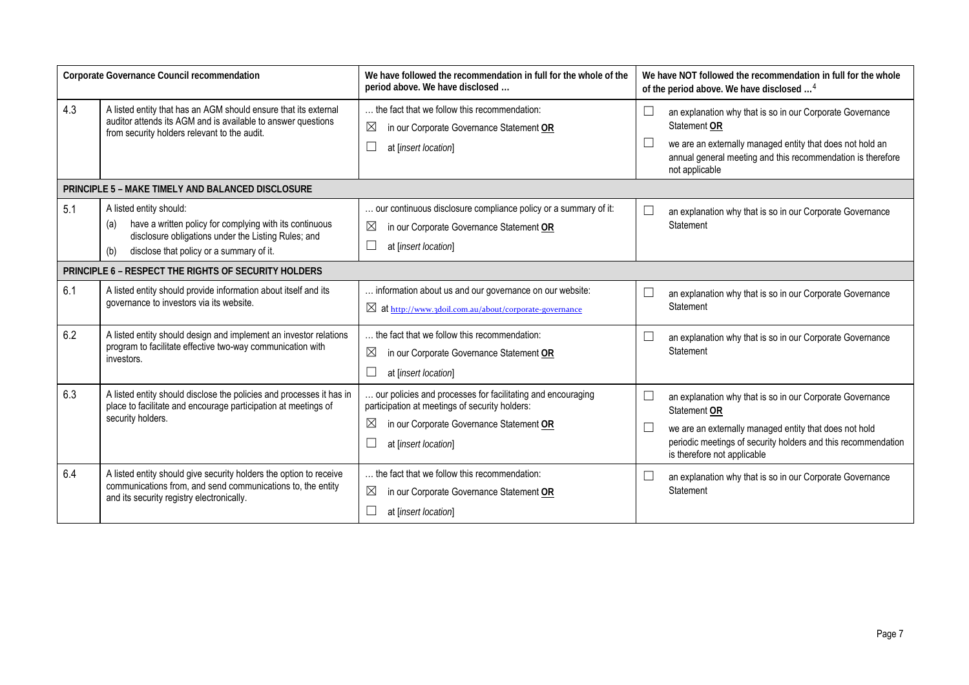| Corporate Governance Council recommendation          |                                                                                                                                                                                                                                                                                                                                                       | We have followed the recommendation in full for the whole of the<br>period above. We have disclosed                                       |                                                                             | We have NOT followed the recommendation in full for the whole<br>of the period above. We have disclosed <sup>4</sup>                                                                                                                |  |
|------------------------------------------------------|-------------------------------------------------------------------------------------------------------------------------------------------------------------------------------------------------------------------------------------------------------------------------------------------------------------------------------------------------------|-------------------------------------------------------------------------------------------------------------------------------------------|-----------------------------------------------------------------------------|-------------------------------------------------------------------------------------------------------------------------------------------------------------------------------------------------------------------------------------|--|
| 4.3                                                  | A listed entity that has an AGM should ensure that its external<br>auditor attends its AGM and is available to answer questions<br>from security holders relevant to the audit.                                                                                                                                                                       | the fact that we follow this recommendation:<br>⊠<br>in our Corporate Governance Statement OR<br>at [insert location]                     | ⊔                                                                           | an explanation why that is so in our Corporate Governance<br>Statement OR<br>we are an externally managed entity that does not hold an<br>annual general meeting and this recommendation is therefore<br>not applicable             |  |
|                                                      | PRINCIPLE 5 - MAKE TIMELY AND BALANCED DISCLOSURE                                                                                                                                                                                                                                                                                                     |                                                                                                                                           |                                                                             |                                                                                                                                                                                                                                     |  |
| 5.1                                                  | A listed entity should:<br>have a written policy for complying with its continuous<br>(a)<br>disclosure obligations under the Listing Rules; and<br>disclose that policy or a summary of it.<br>(b)                                                                                                                                                   | our continuous disclosure compliance policy or a summary of it:<br>⊠<br>in our Corporate Governance Statement OR<br>at [insert location]  |                                                                             | an explanation why that is so in our Corporate Governance<br>Statement                                                                                                                                                              |  |
| PRINCIPLE 6 - RESPECT THE RIGHTS OF SECURITY HOLDERS |                                                                                                                                                                                                                                                                                                                                                       |                                                                                                                                           |                                                                             |                                                                                                                                                                                                                                     |  |
| 6.1                                                  | A listed entity should provide information about itself and its<br>governance to investors via its website.                                                                                                                                                                                                                                           | information about us and our governance on our website:<br>$\boxtimes$ at http://www.3doil.com.au/about/corporate-governance              | ∟                                                                           | an explanation why that is so in our Corporate Governance<br>Statement                                                                                                                                                              |  |
| 6.2                                                  | A listed entity should design and implement an investor relations<br>program to facilitate effective two-way communication with<br>investors.                                                                                                                                                                                                         | the fact that we follow this recommendation:<br>$\boxtimes$<br>in our Corporate Governance Statement OR<br>$\Box$<br>at [insert location] |                                                                             | an explanation why that is so in our Corporate Governance<br>Statement                                                                                                                                                              |  |
| 6.3                                                  | A listed entity should disclose the policies and processes it has in<br>our policies and processes for facilitating and encouraging<br>participation at meetings of security holders:<br>place to facilitate and encourage participation at meetings of<br>security holders.<br>⊠<br>in our Corporate Governance Statement OR<br>at [insert location] |                                                                                                                                           | L<br>L                                                                      | an explanation why that is so in our Corporate Governance<br>Statement OR<br>we are an externally managed entity that does not hold<br>periodic meetings of security holders and this recommendation<br>is therefore not applicable |  |
| 6.4                                                  | A listed entity should give security holders the option to receive<br>communications from, and send communications to, the entity<br>and its security registry electronically.                                                                                                                                                                        | the fact that we follow this recommendation:<br>⊠<br>in our Corporate Governance Statement OR<br>at [insert location]                     | an explanation why that is so in our Corporate Governance<br>∟<br>Statement |                                                                                                                                                                                                                                     |  |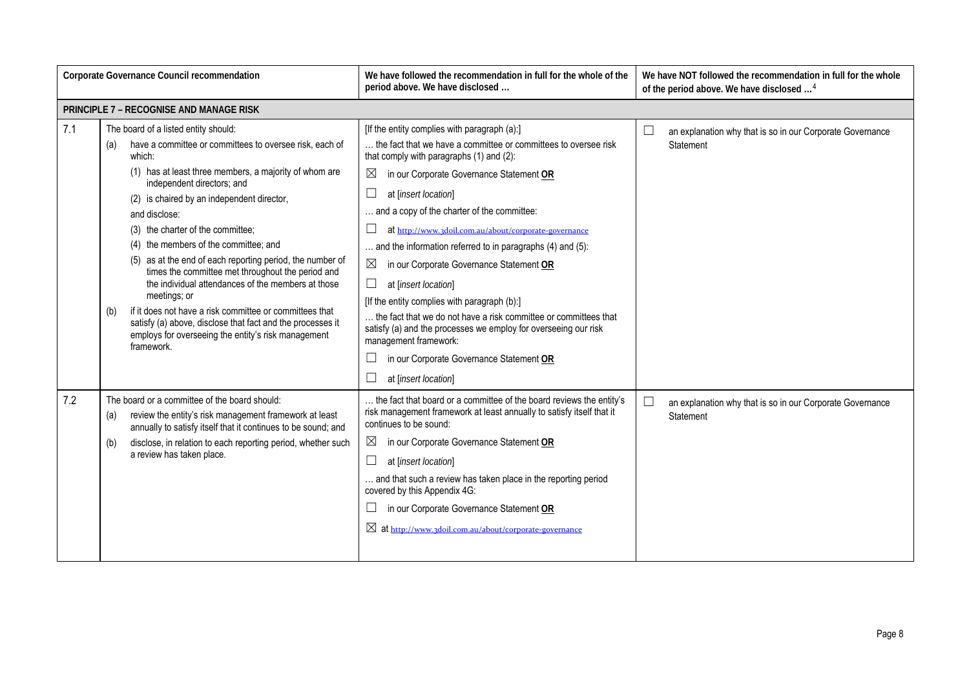| Corporate Governance Council recommendation                                                                                                                                                                                                                                                |                                                                                                                                                                                                                                                                                                                                                                                                                                                                                                                                                                                                                                                                                                                                                    | We have followed the recommendation in full for the whole of the<br>period above. We have disclosed                                                                                                                                                                                                                                                                                                                                                                                                                                                                                                                                                                                                                                                                | We have NOT followed the recommendation in full for the whole<br>of the period above. We have disclosed <sup>4</sup> |  |
|--------------------------------------------------------------------------------------------------------------------------------------------------------------------------------------------------------------------------------------------------------------------------------------------|----------------------------------------------------------------------------------------------------------------------------------------------------------------------------------------------------------------------------------------------------------------------------------------------------------------------------------------------------------------------------------------------------------------------------------------------------------------------------------------------------------------------------------------------------------------------------------------------------------------------------------------------------------------------------------------------------------------------------------------------------|--------------------------------------------------------------------------------------------------------------------------------------------------------------------------------------------------------------------------------------------------------------------------------------------------------------------------------------------------------------------------------------------------------------------------------------------------------------------------------------------------------------------------------------------------------------------------------------------------------------------------------------------------------------------------------------------------------------------------------------------------------------------|----------------------------------------------------------------------------------------------------------------------|--|
|                                                                                                                                                                                                                                                                                            | <b>PRINCIPLE 7 - RECOGNISE AND MANAGE RISK</b>                                                                                                                                                                                                                                                                                                                                                                                                                                                                                                                                                                                                                                                                                                     |                                                                                                                                                                                                                                                                                                                                                                                                                                                                                                                                                                                                                                                                                                                                                                    |                                                                                                                      |  |
| 7.1                                                                                                                                                                                                                                                                                        | The board of a listed entity should:<br>have a committee or committees to oversee risk, each of<br>(a)<br>which:<br>(1) has at least three members, a majority of whom are<br>independent directors; and<br>(2) is chaired by an independent director,<br>and disclose:<br>(3) the charter of the committee;<br>(4) the members of the committee; and<br>(5) as at the end of each reporting period, the number of<br>times the committee met throughout the period and<br>the individual attendances of the members at those<br>meetings; or<br>if it does not have a risk committee or committees that<br>(b)<br>satisfy (a) above, disclose that fact and the processes it<br>employs for overseeing the entity's risk management<br>framework. | [If the entity complies with paragraph (a):]<br>the fact that we have a committee or committees to oversee risk<br>that comply with paragraphs (1) and (2):<br>in our Corporate Governance Statement OR<br>at [insert location]<br>and a copy of the charter of the committee:<br>at http://www.3doil.com.au/about/corporate-governance<br>and the information referred to in paragraphs (4) and (5):<br>in our Corporate Governance Statement OR<br>П<br>at [insert location]<br>[If the entity complies with paragraph (b):]<br>the fact that we do not have a risk committee or committees that<br>satisfy (a) and the processes we employ for overseeing our risk<br>management framework:<br>in our Corporate Governance Statement OR<br>at [insert location] | └<br>an explanation why that is so in our Corporate Governance<br>Statement                                          |  |
| The board or a committee of the board should:<br>7.2<br>review the entity's risk management framework at least<br>(a)<br>annually to satisfy itself that it continues to be sound; and<br>disclose, in relation to each reporting period, whether such<br>(b)<br>a review has taken place. |                                                                                                                                                                                                                                                                                                                                                                                                                                                                                                                                                                                                                                                                                                                                                    | the fact that board or a committee of the board reviews the entity's<br>risk management framework at least annually to satisfy itself that it<br>continues to be sound:<br>in our Corporate Governance Statement OR<br>$\boxtimes$<br>at [insert location]<br>and that such a review has taken place in the reporting period<br>covered by this Appendix 4G:<br>in our Corporate Governance Statement OR<br>⊠ at http://www.3doil.com.au/about/corporate-governance                                                                                                                                                                                                                                                                                                | $\Box$<br>an explanation why that is so in our Corporate Governance<br>Statement                                     |  |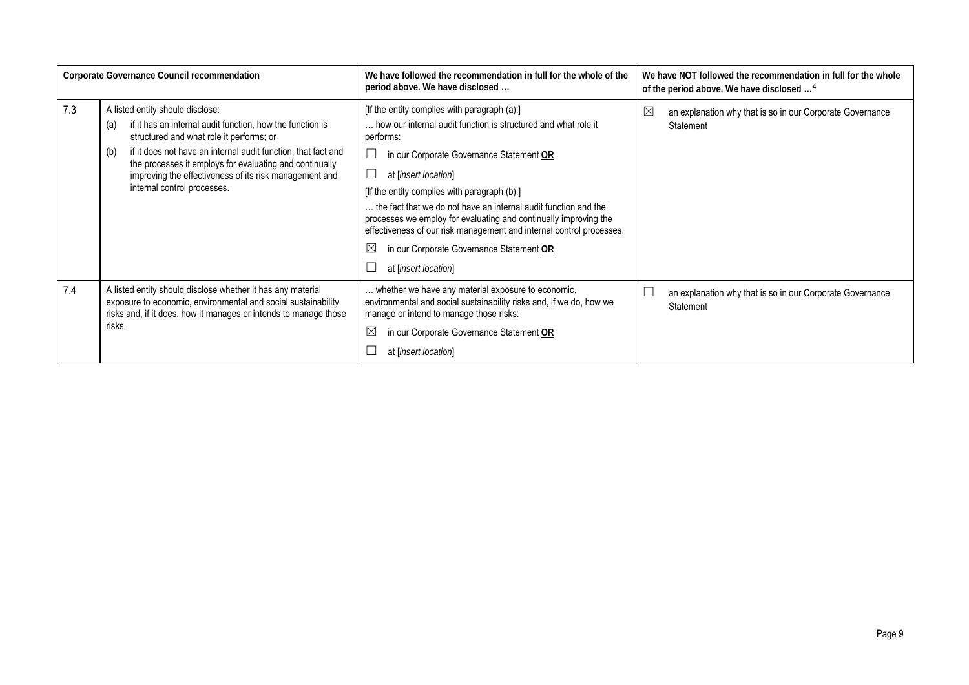| Corporate Governance Council recommendation |                                                                                                                                                                                                                                                                                                                                                                              | We have followed the recommendation in full for the whole of the<br>period above. We have disclosed                                                                                                                                                                                                                                                                                                                                                                                                                                               | We have NOT followed the recommendation in full for the whole<br>of the period above. We have disclosed <sup>4</sup> |  |
|---------------------------------------------|------------------------------------------------------------------------------------------------------------------------------------------------------------------------------------------------------------------------------------------------------------------------------------------------------------------------------------------------------------------------------|---------------------------------------------------------------------------------------------------------------------------------------------------------------------------------------------------------------------------------------------------------------------------------------------------------------------------------------------------------------------------------------------------------------------------------------------------------------------------------------------------------------------------------------------------|----------------------------------------------------------------------------------------------------------------------|--|
| 7.3                                         | A listed entity should disclose:<br>if it has an internal audit function, how the function is<br>(a)<br>structured and what role it performs; or<br>if it does not have an internal audit function, that fact and<br>(b)<br>the processes it employs for evaluating and continually<br>improving the effectiveness of its risk management and<br>internal control processes. | [If the entity complies with paragraph (a):]<br>how our internal audit function is structured and what role it<br>performs:<br>in our Corporate Governance Statement OR<br>at [insert location]<br>[If the entity complies with paragraph (b):]<br>the fact that we do not have an internal audit function and the<br>processes we employ for evaluating and continually improving the<br>effectiveness of our risk management and internal control processes:<br>$\boxtimes$<br>in our Corporate Governance Statement OR<br>at [insert location] | $\boxtimes$<br>an explanation why that is so in our Corporate Governance<br>Statement                                |  |
| 7.4                                         | A listed entity should disclose whether it has any material<br>exposure to economic, environmental and social sustainability<br>risks and, if it does, how it manages or intends to manage those<br>risks.                                                                                                                                                                   | whether we have any material exposure to economic,<br>environmental and social sustainability risks and, if we do, how we<br>manage or intend to manage those risks:<br>$\boxtimes$<br>in our Corporate Governance Statement OR<br>at [insert location]                                                                                                                                                                                                                                                                                           | an explanation why that is so in our Corporate Governance<br>Statement                                               |  |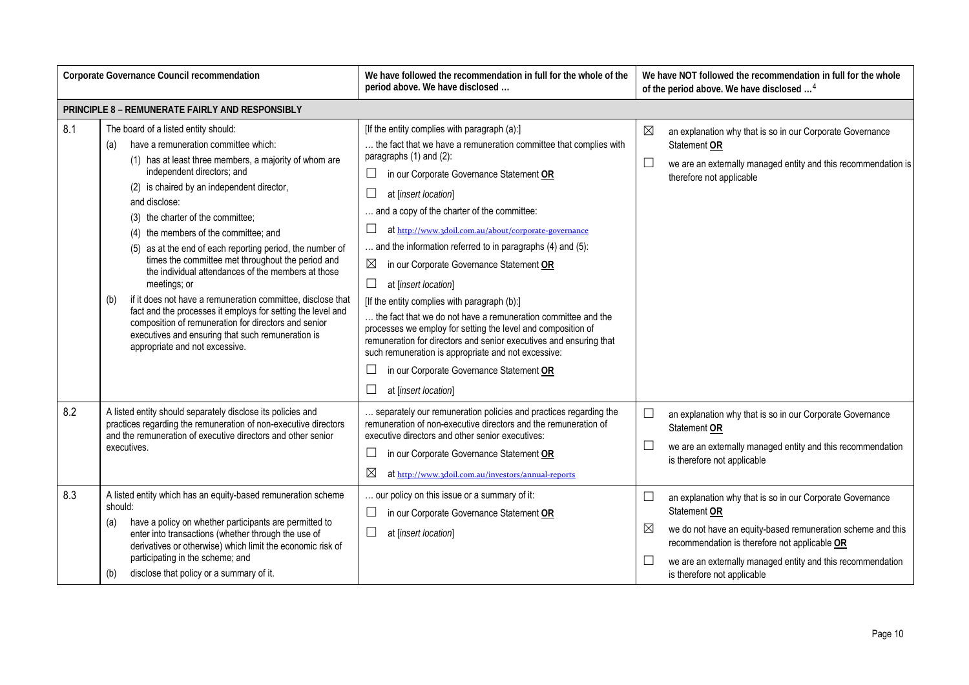| Corporate Governance Council recommendation                                                                                                                                                                          |                                                                                                                                                                                                                                                                                                                                                                                                                                                                                                                                                                                                                                                                                                                                                                                                      | We have followed the recommendation in full for the whole of the<br>period above. We have disclosed                                                                                                                                                                                                                                                                                                                                                                                                                                                                                                                                                                                                                                                                                                                                                                                                 | We have NOT followed the recommendation in full for the whole<br>of the period above. We have disclosed <sup>4</sup>                                                                                                                                                                                                         |  |
|----------------------------------------------------------------------------------------------------------------------------------------------------------------------------------------------------------------------|------------------------------------------------------------------------------------------------------------------------------------------------------------------------------------------------------------------------------------------------------------------------------------------------------------------------------------------------------------------------------------------------------------------------------------------------------------------------------------------------------------------------------------------------------------------------------------------------------------------------------------------------------------------------------------------------------------------------------------------------------------------------------------------------------|-----------------------------------------------------------------------------------------------------------------------------------------------------------------------------------------------------------------------------------------------------------------------------------------------------------------------------------------------------------------------------------------------------------------------------------------------------------------------------------------------------------------------------------------------------------------------------------------------------------------------------------------------------------------------------------------------------------------------------------------------------------------------------------------------------------------------------------------------------------------------------------------------------|------------------------------------------------------------------------------------------------------------------------------------------------------------------------------------------------------------------------------------------------------------------------------------------------------------------------------|--|
|                                                                                                                                                                                                                      | PRINCIPLE 8 - REMUNERATE FAIRLY AND RESPONSIBLY                                                                                                                                                                                                                                                                                                                                                                                                                                                                                                                                                                                                                                                                                                                                                      |                                                                                                                                                                                                                                                                                                                                                                                                                                                                                                                                                                                                                                                                                                                                                                                                                                                                                                     |                                                                                                                                                                                                                                                                                                                              |  |
| 8.1                                                                                                                                                                                                                  | The board of a listed entity should:<br>have a remuneration committee which:<br>(a)<br>(1) has at least three members, a majority of whom are<br>independent directors; and<br>(2) is chaired by an independent director,<br>and disclose:<br>(3) the charter of the committee;<br>(4) the members of the committee; and<br>(5) as at the end of each reporting period, the number of<br>times the committee met throughout the period and<br>the individual attendances of the members at those<br>meetings; or<br>if it does not have a remuneration committee, disclose that<br>(b)<br>fact and the processes it employs for setting the level and<br>composition of remuneration for directors and senior<br>executives and ensuring that such remuneration is<br>appropriate and not excessive. | [If the entity complies with paragraph (a):]<br>the fact that we have a remuneration committee that complies with<br>paragraphs (1) and (2):<br>⊔<br>in our Corporate Governance Statement OR<br>$\Box$<br>at [insert location]<br>and a copy of the charter of the committee:<br>$\Box$<br>at http://www.3doil.com.au/about/corporate-governance<br>and the information referred to in paragraphs (4) and (5):<br>$\boxtimes$<br>in our Corporate Governance Statement OR<br>$\Box$<br>at [insert location]<br>[If the entity complies with paragraph (b):]<br>the fact that we do not have a remuneration committee and the<br>processes we employ for setting the level and composition of<br>remuneration for directors and senior executives and ensuring that<br>such remuneration is appropriate and not excessive:<br>П<br>in our Corporate Governance Statement OR<br>at [insert location] | $\boxtimes$<br>an explanation why that is so in our Corporate Governance<br>Statement OR<br>$\Box$<br>we are an externally managed entity and this recommendation is<br>therefore not applicable                                                                                                                             |  |
| 8.2<br>A listed entity should separately disclose its policies and<br>practices regarding the remuneration of non-executive directors<br>and the remuneration of executive directors and other senior<br>executives. |                                                                                                                                                                                                                                                                                                                                                                                                                                                                                                                                                                                                                                                                                                                                                                                                      | separately our remuneration policies and practices regarding the<br>remuneration of non-executive directors and the remuneration of<br>executive directors and other senior executives:<br>$\Box$<br>in our Corporate Governance Statement OR<br>$\boxtimes$<br>at http://www.3doil.com.au/investors/annual-reports                                                                                                                                                                                                                                                                                                                                                                                                                                                                                                                                                                                 | $\Box$<br>an explanation why that is so in our Corporate Governance<br>Statement OR<br>⊔<br>we are an externally managed entity and this recommendation<br>is therefore not applicable                                                                                                                                       |  |
| 8.3                                                                                                                                                                                                                  | A listed entity which has an equity-based remuneration scheme<br>should:<br>have a policy on whether participants are permitted to<br>(a)<br>enter into transactions (whether through the use of<br>derivatives or otherwise) which limit the economic risk of<br>participating in the scheme; and<br>disclose that policy or a summary of it.<br>(b)                                                                                                                                                                                                                                                                                                                                                                                                                                                | . our policy on this issue or a summary of it:<br>$\Box$<br>in our Corporate Governance Statement OR<br>$\Box$<br>at [insert location]                                                                                                                                                                                                                                                                                                                                                                                                                                                                                                                                                                                                                                                                                                                                                              | $\Box$<br>an explanation why that is so in our Corporate Governance<br><b>Statement OR</b><br>$\boxtimes$<br>we do not have an equity-based remuneration scheme and this<br>recommendation is therefore not applicable OR<br>└<br>we are an externally managed entity and this recommendation<br>is therefore not applicable |  |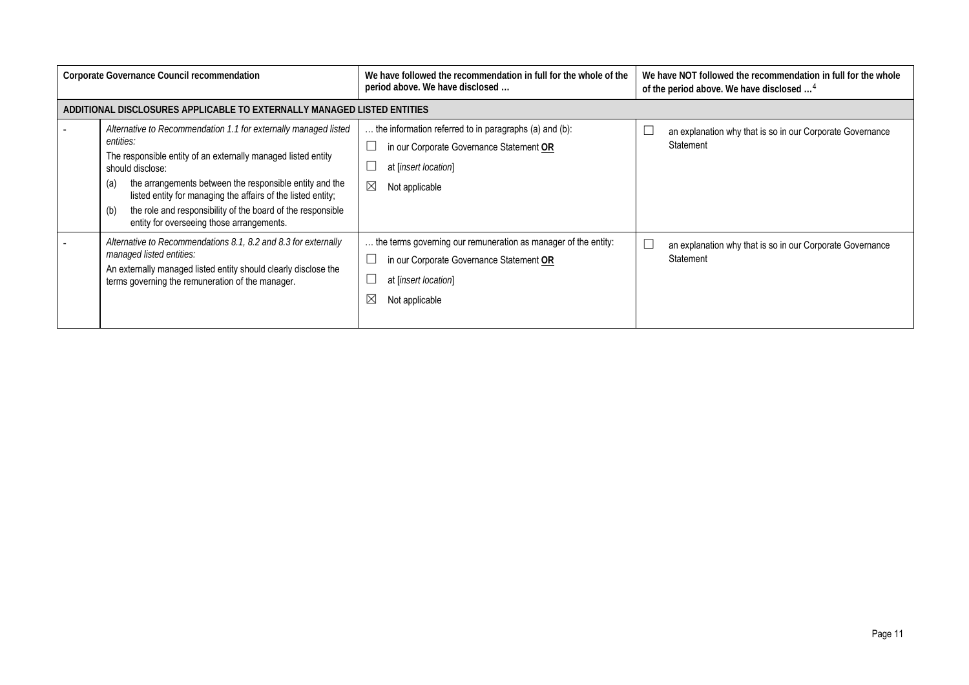| Corporate Governance Council recommendation                                                                                                                                                                       |                                                                                                                                                                                                                                                                                                                                                                                                                        | We have followed the recommendation in full for the whole of the<br>period above. We have disclosed                                                         | We have NOT followed the recommendation in full for the whole<br>of the period above. We have disclosed <sup>4</sup> |  |  |
|-------------------------------------------------------------------------------------------------------------------------------------------------------------------------------------------------------------------|------------------------------------------------------------------------------------------------------------------------------------------------------------------------------------------------------------------------------------------------------------------------------------------------------------------------------------------------------------------------------------------------------------------------|-------------------------------------------------------------------------------------------------------------------------------------------------------------|----------------------------------------------------------------------------------------------------------------------|--|--|
|                                                                                                                                                                                                                   | ADDITIONAL DISCLOSURES APPLICABLE TO EXTERNALLY MANAGED LISTED ENTITIES                                                                                                                                                                                                                                                                                                                                                |                                                                                                                                                             |                                                                                                                      |  |  |
|                                                                                                                                                                                                                   | Alternative to Recommendation 1.1 for externally managed listed<br>entities:<br>The responsible entity of an externally managed listed entity<br>should disclose:<br>the arrangements between the responsible entity and the<br>(a)<br>listed entity for managing the affairs of the listed entity;<br>the role and responsibility of the board of the responsible<br>(b)<br>entity for overseeing those arrangements. | the information referred to in paragraphs (a) and (b):<br>in our Corporate Governance Statement OR<br>at [insert location]<br>$\boxtimes$<br>Not applicable | an explanation why that is so in our Corporate Governance<br>Statement                                               |  |  |
| Alternative to Recommendations 8.1, 8.2 and 8.3 for externally<br>managed listed entities:<br>An externally managed listed entity should clearly disclose the<br>terms governing the remuneration of the manager. |                                                                                                                                                                                                                                                                                                                                                                                                                        | the terms governing our remuneration as manager of the entity:<br>in our Corporate Governance Statement OR<br>at [insert location]<br>Not applicable        | an explanation why that is so in our Corporate Governance<br>Statement                                               |  |  |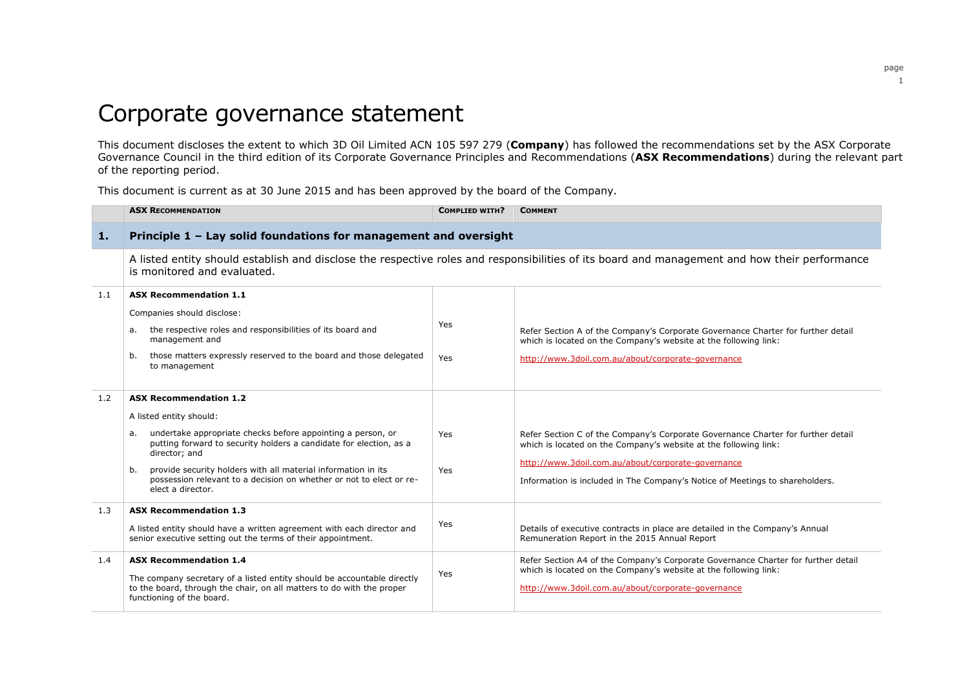# Corporate governance statement

This document discloses the extent to which 3D Oil Limited ACN 105 597 279 (**Company**) has followed the recommendations set by the ASX Corporate Governance Council in the third edition of its Corporate Governance Principles and Recommendations (**ASX Recommendations**) during the relevant part of the reporting period.

This document is current as at 30 June 2015 and has been approved by the board of the Company.

|     | <b>ASX RECOMMENDATION</b>                                                                                                                                                                                                                                                                                                                                                               | <b>COMPLIED WITH?</b> | <b>COMMENT</b>                                                                                                                                                                                                                                                                             |  |  |
|-----|-----------------------------------------------------------------------------------------------------------------------------------------------------------------------------------------------------------------------------------------------------------------------------------------------------------------------------------------------------------------------------------------|-----------------------|--------------------------------------------------------------------------------------------------------------------------------------------------------------------------------------------------------------------------------------------------------------------------------------------|--|--|
| 1.  | Principle 1 - Lay solid foundations for management and oversight                                                                                                                                                                                                                                                                                                                        |                       |                                                                                                                                                                                                                                                                                            |  |  |
|     | A listed entity should establish and disclose the respective roles and responsibilities of its board and management and how their performance<br>is monitored and evaluated.                                                                                                                                                                                                            |                       |                                                                                                                                                                                                                                                                                            |  |  |
| 1.1 | <b>ASX Recommendation 1.1</b><br>Companies should disclose:<br>the respective roles and responsibilities of its board and<br>а.<br>management and<br>those matters expressly reserved to the board and those delegated<br>b.<br>to management                                                                                                                                           | Yes<br>Yes            | Refer Section A of the Company's Corporate Governance Charter for further detail<br>which is located on the Company's website at the following link:<br>http://www.3doil.com.au/about/corporate-governance                                                                                 |  |  |
| 1.2 | <b>ASX Recommendation 1.2</b><br>A listed entity should:<br>undertake appropriate checks before appointing a person, or<br>a.<br>putting forward to security holders a candidate for election, as a<br>director; and<br>provide security holders with all material information in its<br>b.<br>possession relevant to a decision on whether or not to elect or re-<br>elect a director. | Yes<br>Yes            | Refer Section C of the Company's Corporate Governance Charter for further detail<br>which is located on the Company's website at the following link:<br>http://www.3doil.com.au/about/corporate-governance<br>Information is included in The Company's Notice of Meetings to shareholders. |  |  |
| 1.3 | <b>ASX Recommendation 1.3</b><br>A listed entity should have a written agreement with each director and<br>senior executive setting out the terms of their appointment.                                                                                                                                                                                                                 | Yes                   | Details of executive contracts in place are detailed in the Company's Annual<br>Remuneration Report in the 2015 Annual Report                                                                                                                                                              |  |  |
| 1.4 | <b>ASX Recommendation 1.4</b><br>The company secretary of a listed entity should be accountable directly<br>to the board, through the chair, on all matters to do with the proper<br>functioning of the board.                                                                                                                                                                          | Yes                   | Refer Section A4 of the Company's Corporate Governance Charter for further detail<br>which is located on the Company's website at the following link:<br>http://www.3doil.com.au/about/corporate-governance                                                                                |  |  |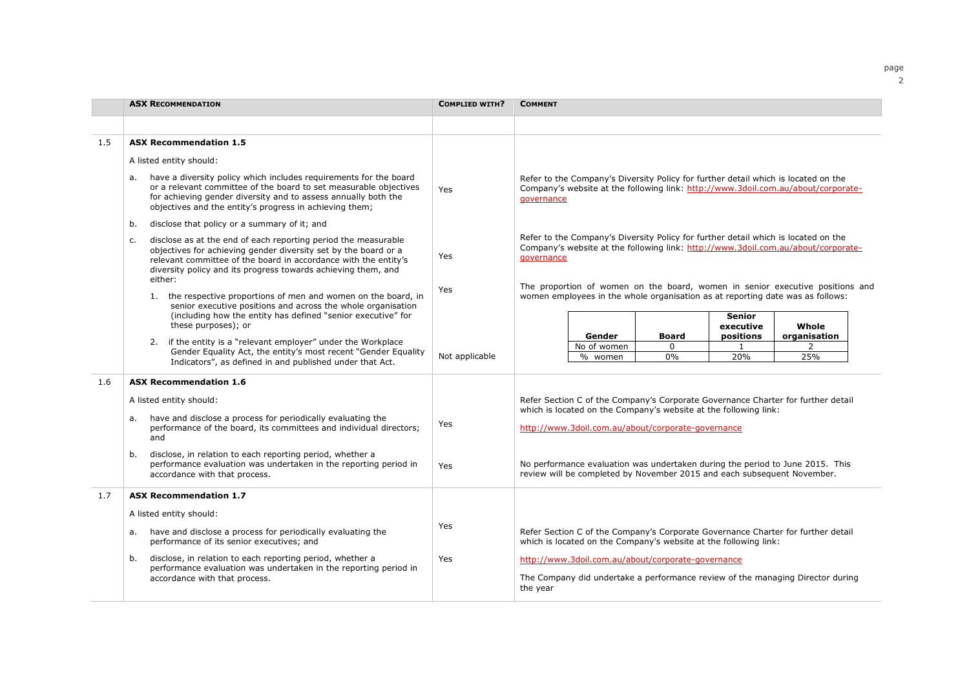|     | <b>ASX RECOMMENDATION</b>                                                                                                                                                                                                                                                                                                                                                                                                | <b>COMPLIED WITH?</b> | <b>COMMENT</b>                                                                                                                                                                        |
|-----|--------------------------------------------------------------------------------------------------------------------------------------------------------------------------------------------------------------------------------------------------------------------------------------------------------------------------------------------------------------------------------------------------------------------------|-----------------------|---------------------------------------------------------------------------------------------------------------------------------------------------------------------------------------|
|     |                                                                                                                                                                                                                                                                                                                                                                                                                          |                       |                                                                                                                                                                                       |
| 1.5 | <b>ASX Recommendation 1.5</b>                                                                                                                                                                                                                                                                                                                                                                                            |                       |                                                                                                                                                                                       |
|     | A listed entity should:                                                                                                                                                                                                                                                                                                                                                                                                  |                       |                                                                                                                                                                                       |
|     | have a diversity policy which includes requirements for the board<br>а.<br>or a relevant committee of the board to set measurable objectives<br>for achieving gender diversity and to assess annually both the<br>objectives and the entity's progress in achieving them;                                                                                                                                                | Yes                   | Refer to the Company's Diversity Policy for further detail which is located on the<br>Company's website at the following link: http://www.3doil.com.au/about/corporate-<br>governance |
|     | disclose that policy or a summary of it; and<br>b.                                                                                                                                                                                                                                                                                                                                                                       |                       |                                                                                                                                                                                       |
|     | disclose as at the end of each reporting period the measurable<br>c.<br>objectives for achieving gender diversity set by the board or a<br>Yes<br>relevant committee of the board in accordance with the entity's<br>diversity policy and its progress towards achieving them, and<br>either:                                                                                                                            |                       | Refer to the Company's Diversity Policy for further detail which is located on the<br>Company's website at the following link: http://www.3doil.com.au/about/corporate-<br>governance |
|     | 1. the respective proportions of men and women on the board, in<br>senior executive positions and across the whole organisation<br>(including how the entity has defined "senior executive" for<br>these purposes); or<br>if the entity is a "relevant employer" under the Workplace<br>2.<br>Gender Equality Act, the entity's most recent "Gender Equality<br>Indicators", as defined in and published under that Act. | Yes                   | The proportion of women on the board, women in senior executive positions and<br>women employees in the whole organisation as at reporting date was as follows:                       |
|     |                                                                                                                                                                                                                                                                                                                                                                                                                          |                       | <b>Senior</b><br>Whole<br>executive                                                                                                                                                   |
|     |                                                                                                                                                                                                                                                                                                                                                                                                                          |                       | Gender<br><b>Board</b><br>positions<br>organisation<br>No of women<br>$\mathbf{1}$<br>$\Omega$<br>2                                                                                   |
|     |                                                                                                                                                                                                                                                                                                                                                                                                                          | Not applicable        | $0\%$<br>25%<br>20%<br>% women                                                                                                                                                        |
| 1.6 | <b>ASX Recommendation 1.6</b>                                                                                                                                                                                                                                                                                                                                                                                            |                       |                                                                                                                                                                                       |
|     | A listed entity should:                                                                                                                                                                                                                                                                                                                                                                                                  |                       | Refer Section C of the Company's Corporate Governance Charter for further detail<br>which is located on the Company's website at the following link:                                  |
|     | have and disclose a process for periodically evaluating the<br>а.<br>performance of the board, its committees and individual directors;<br>and                                                                                                                                                                                                                                                                           | Yes                   | http://www.3doil.com.au/about/corporate-governance                                                                                                                                    |
|     | disclose, in relation to each reporting period, whether a<br>b.<br>performance evaluation was undertaken in the reporting period in<br>accordance with that process.                                                                                                                                                                                                                                                     | Yes                   | No performance evaluation was undertaken during the period to June 2015. This<br>review will be completed by November 2015 and each subsequent November.                              |
| 1.7 | <b>ASX Recommendation 1.7</b>                                                                                                                                                                                                                                                                                                                                                                                            |                       |                                                                                                                                                                                       |
|     | A listed entity should:                                                                                                                                                                                                                                                                                                                                                                                                  |                       |                                                                                                                                                                                       |
|     | have and disclose a process for periodically evaluating the<br>а.<br>performance of its senior executives; and                                                                                                                                                                                                                                                                                                           | Yes                   | Refer Section C of the Company's Corporate Governance Charter for further detail<br>which is located on the Company's website at the following link:                                  |
|     | disclose, in relation to each reporting period, whether a<br>b.                                                                                                                                                                                                                                                                                                                                                          | Yes                   | http://www.3doil.com.au/about/corporate-governance                                                                                                                                    |
|     | performance evaluation was undertaken in the reporting period in<br>accordance with that process.                                                                                                                                                                                                                                                                                                                        |                       | The Company did undertake a performance review of the managing Director during<br>the year                                                                                            |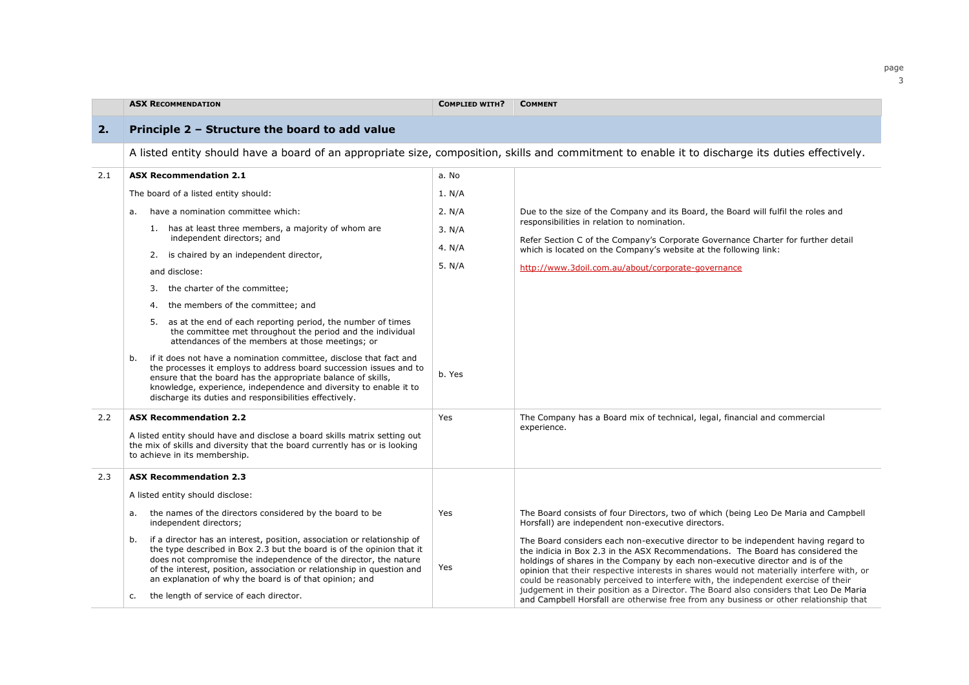|     | <b>ASX RECOMMENDATION</b>                                                                                                                                                                                                                                                                                                                                                                                        | <b>COMPLIED WITH?</b> | <b>COMMENT</b>                                                                                                                                                                                                                                                                                                                                                                                                                                                                                                                                                                                                               |  |  |
|-----|------------------------------------------------------------------------------------------------------------------------------------------------------------------------------------------------------------------------------------------------------------------------------------------------------------------------------------------------------------------------------------------------------------------|-----------------------|------------------------------------------------------------------------------------------------------------------------------------------------------------------------------------------------------------------------------------------------------------------------------------------------------------------------------------------------------------------------------------------------------------------------------------------------------------------------------------------------------------------------------------------------------------------------------------------------------------------------------|--|--|
| 2.  | Principle 2 - Structure the board to add value                                                                                                                                                                                                                                                                                                                                                                   |                       |                                                                                                                                                                                                                                                                                                                                                                                                                                                                                                                                                                                                                              |  |  |
|     | A listed entity should have a board of an appropriate size, composition, skills and commitment to enable it to discharge its duties effectively.                                                                                                                                                                                                                                                                 |                       |                                                                                                                                                                                                                                                                                                                                                                                                                                                                                                                                                                                                                              |  |  |
| 2.1 | <b>ASX Recommendation 2.1</b>                                                                                                                                                                                                                                                                                                                                                                                    | a. No                 |                                                                                                                                                                                                                                                                                                                                                                                                                                                                                                                                                                                                                              |  |  |
|     | The board of a listed entity should:                                                                                                                                                                                                                                                                                                                                                                             | 1. N/A                |                                                                                                                                                                                                                                                                                                                                                                                                                                                                                                                                                                                                                              |  |  |
|     | have a nomination committee which:<br>a.                                                                                                                                                                                                                                                                                                                                                                         | 2. N/A                | Due to the size of the Company and its Board, the Board will fulfil the roles and                                                                                                                                                                                                                                                                                                                                                                                                                                                                                                                                            |  |  |
|     | 1. has at least three members, a majority of whom are<br>independent directors; and                                                                                                                                                                                                                                                                                                                              | 3. N/A                | responsibilities in relation to nomination.                                                                                                                                                                                                                                                                                                                                                                                                                                                                                                                                                                                  |  |  |
|     | 2. is chaired by an independent director,                                                                                                                                                                                                                                                                                                                                                                        | 4. $N/A$              | Refer Section C of the Company's Corporate Governance Charter for further detail<br>which is located on the Company's website at the following link:                                                                                                                                                                                                                                                                                                                                                                                                                                                                         |  |  |
|     | and disclose:                                                                                                                                                                                                                                                                                                                                                                                                    | 5. $N/A$              | http://www.3doil.com.au/about/corporate-governance                                                                                                                                                                                                                                                                                                                                                                                                                                                                                                                                                                           |  |  |
|     | 3. the charter of the committee;                                                                                                                                                                                                                                                                                                                                                                                 |                       |                                                                                                                                                                                                                                                                                                                                                                                                                                                                                                                                                                                                                              |  |  |
|     | the members of the committee; and<br>4.                                                                                                                                                                                                                                                                                                                                                                          |                       |                                                                                                                                                                                                                                                                                                                                                                                                                                                                                                                                                                                                                              |  |  |
|     | as at the end of each reporting period, the number of times<br>5.<br>the committee met throughout the period and the individual<br>attendances of the members at those meetings; or                                                                                                                                                                                                                              |                       |                                                                                                                                                                                                                                                                                                                                                                                                                                                                                                                                                                                                                              |  |  |
|     | if it does not have a nomination committee, disclose that fact and<br>b.<br>the processes it employs to address board succession issues and to<br>ensure that the board has the appropriate balance of skills,<br>knowledge, experience, independence and diversity to enable it to<br>discharge its duties and responsibilities effectively.                                                                    | b. Yes                |                                                                                                                                                                                                                                                                                                                                                                                                                                                                                                                                                                                                                              |  |  |
| 2.2 | <b>ASX Recommendation 2.2</b><br>A listed entity should have and disclose a board skills matrix setting out<br>the mix of skills and diversity that the board currently has or is looking<br>to achieve in its membership.                                                                                                                                                                                       | Yes                   | The Company has a Board mix of technical, legal, financial and commercial<br>experience.                                                                                                                                                                                                                                                                                                                                                                                                                                                                                                                                     |  |  |
| 2.3 | <b>ASX Recommendation 2.3</b>                                                                                                                                                                                                                                                                                                                                                                                    |                       |                                                                                                                                                                                                                                                                                                                                                                                                                                                                                                                                                                                                                              |  |  |
|     | A listed entity should disclose:                                                                                                                                                                                                                                                                                                                                                                                 |                       |                                                                                                                                                                                                                                                                                                                                                                                                                                                                                                                                                                                                                              |  |  |
|     | the names of the directors considered by the board to be<br>а.<br>independent directors;                                                                                                                                                                                                                                                                                                                         | Yes                   | The Board consists of four Directors, two of which (being Leo De Maria and Campbell<br>Horsfall) are independent non-executive directors.                                                                                                                                                                                                                                                                                                                                                                                                                                                                                    |  |  |
|     | if a director has an interest, position, association or relationship of<br>b.<br>the type described in Box 2.3 but the board is of the opinion that it<br>does not compromise the independence of the director, the nature<br>of the interest, position, association or relationship in question and<br>an explanation of why the board is of that opinion; and<br>the length of service of each director.<br>c. | Yes                   | The Board considers each non-executive director to be independent having regard to<br>the indicia in Box 2.3 in the ASX Recommendations. The Board has considered the<br>holdings of shares in the Company by each non-executive director and is of the<br>opinion that their respective interests in shares would not materially interfere with, or<br>could be reasonably perceived to interfere with, the independent exercise of their<br>judgement in their position as a Director. The Board also considers that Leo De Maria<br>and Campbell Horsfall are otherwise free from any business or other relationship that |  |  |

page 3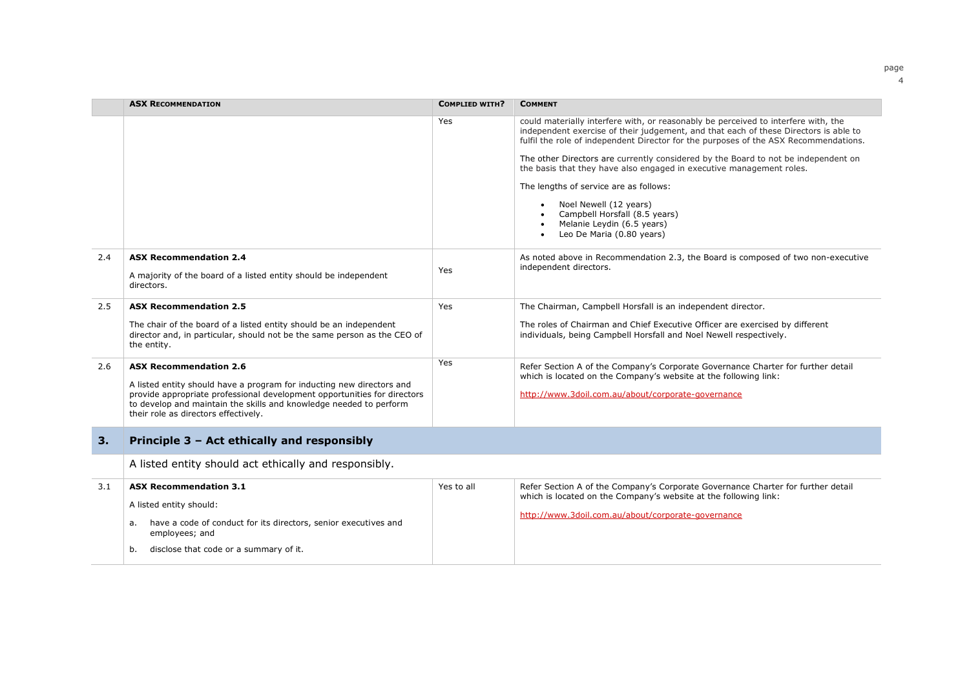|     | <b>ASX RECOMMENDATION</b>                                                                                                                                                                                                                                       | <b>COMPLIED WITH?</b> | <b>COMMENT</b>                                                                                                                                                                                                                                                                                                                                                                                                                                                                                                                                                                                                |
|-----|-----------------------------------------------------------------------------------------------------------------------------------------------------------------------------------------------------------------------------------------------------------------|-----------------------|---------------------------------------------------------------------------------------------------------------------------------------------------------------------------------------------------------------------------------------------------------------------------------------------------------------------------------------------------------------------------------------------------------------------------------------------------------------------------------------------------------------------------------------------------------------------------------------------------------------|
|     |                                                                                                                                                                                                                                                                 | Yes                   | could materially interfere with, or reasonably be perceived to interfere with, the<br>independent exercise of their judgement, and that each of these Directors is able to<br>fulfil the role of independent Director for the purposes of the ASX Recommendations.<br>The other Directors are currently considered by the Board to not be independent on<br>the basis that they have also engaged in executive management roles.<br>The lengths of service are as follows:<br>Noel Newell (12 years)<br>Campbell Horsfall (8.5 years)<br>Melanie Leydin (6.5 years)<br>Leo De Maria (0.80 years)<br>$\bullet$ |
| 2.4 | <b>ASX Recommendation 2.4</b><br>A majority of the board of a listed entity should be independent<br>directors.                                                                                                                                                 | Yes                   | As noted above in Recommendation 2.3, the Board is composed of two non-executive<br>independent directors.                                                                                                                                                                                                                                                                                                                                                                                                                                                                                                    |
| 2.5 | <b>ASX Recommendation 2.5</b>                                                                                                                                                                                                                                   | <b>Yes</b>            | The Chairman, Campbell Horsfall is an independent director.                                                                                                                                                                                                                                                                                                                                                                                                                                                                                                                                                   |
|     | The chair of the board of a listed entity should be an independent<br>director and, in particular, should not be the same person as the CEO of<br>the entity.                                                                                                   |                       | The roles of Chairman and Chief Executive Officer are exercised by different<br>individuals, being Campbell Horsfall and Noel Newell respectively.                                                                                                                                                                                                                                                                                                                                                                                                                                                            |
| 2.6 | <b>ASX Recommendation 2.6</b>                                                                                                                                                                                                                                   | Yes.                  | Refer Section A of the Company's Corporate Governance Charter for further detail<br>which is located on the Company's website at the following link:                                                                                                                                                                                                                                                                                                                                                                                                                                                          |
|     | A listed entity should have a program for inducting new directors and<br>provide appropriate professional development opportunities for directors<br>to develop and maintain the skills and knowledge needed to perform<br>their role as directors effectively. |                       | http://www.3doil.com.au/about/corporate-governance                                                                                                                                                                                                                                                                                                                                                                                                                                                                                                                                                            |
| 3.  | Principle 3 - Act ethically and responsibly                                                                                                                                                                                                                     |                       |                                                                                                                                                                                                                                                                                                                                                                                                                                                                                                                                                                                                               |
|     | A listed entity should act ethically and responsibly.                                                                                                                                                                                                           |                       |                                                                                                                                                                                                                                                                                                                                                                                                                                                                                                                                                                                                               |
| 3.1 | <b>ASX Recommendation 3.1</b><br>A listed entity should:                                                                                                                                                                                                        | Yes to all            | Refer Section A of the Company's Corporate Governance Charter for further detail<br>which is located on the Company's website at the following link:<br>http://www.3doil.com.au/about/corporate-governance                                                                                                                                                                                                                                                                                                                                                                                                    |
|     | have a code of conduct for its directors, senior executives and<br>а.<br>employees; and                                                                                                                                                                         |                       |                                                                                                                                                                                                                                                                                                                                                                                                                                                                                                                                                                                                               |
|     | disclose that code or a summary of it.<br>b.                                                                                                                                                                                                                    |                       |                                                                                                                                                                                                                                                                                                                                                                                                                                                                                                                                                                                                               |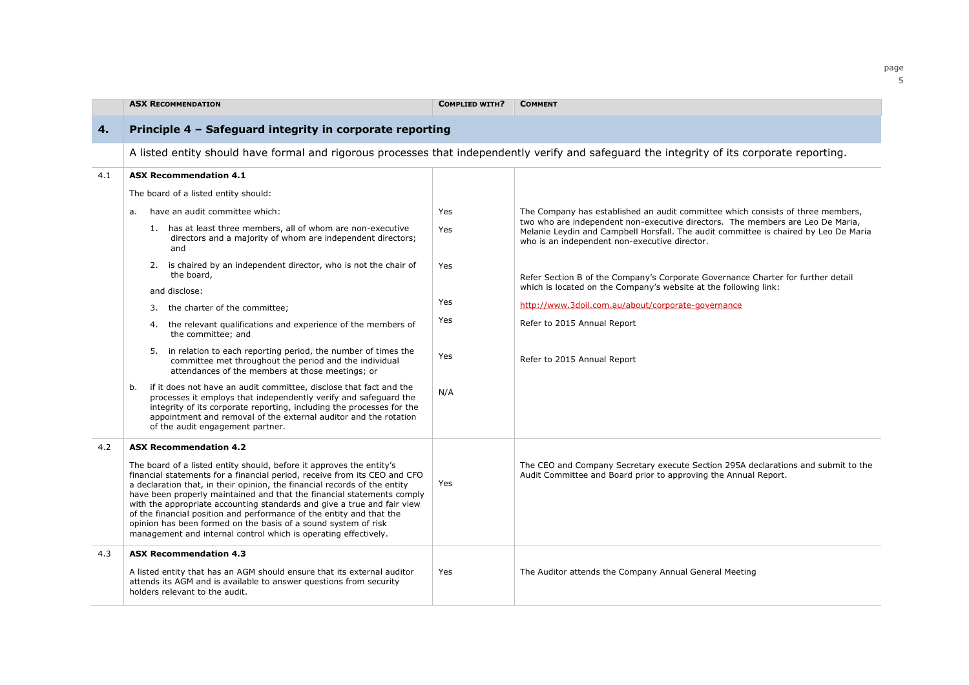|     | <b>ASX RECOMMENDATION</b>                                                                                                                                                                                                                                                                                                                                                                                                                                                                                                                                                                        | <b>COMPLIED WITH?</b> | <b>COMMENT</b>                                                                                                                                                                                                          |
|-----|--------------------------------------------------------------------------------------------------------------------------------------------------------------------------------------------------------------------------------------------------------------------------------------------------------------------------------------------------------------------------------------------------------------------------------------------------------------------------------------------------------------------------------------------------------------------------------------------------|-----------------------|-------------------------------------------------------------------------------------------------------------------------------------------------------------------------------------------------------------------------|
| 4.  | Principle 4 - Safeguard integrity in corporate reporting                                                                                                                                                                                                                                                                                                                                                                                                                                                                                                                                         |                       |                                                                                                                                                                                                                         |
|     | A listed entity should have formal and rigorous processes that independently verify and safequard the integrity of its corporate reporting.                                                                                                                                                                                                                                                                                                                                                                                                                                                      |                       |                                                                                                                                                                                                                         |
| 4.1 | <b>ASX Recommendation 4.1</b>                                                                                                                                                                                                                                                                                                                                                                                                                                                                                                                                                                    |                       |                                                                                                                                                                                                                         |
|     | The board of a listed entity should:                                                                                                                                                                                                                                                                                                                                                                                                                                                                                                                                                             |                       |                                                                                                                                                                                                                         |
|     | have an audit committee which:<br>a.                                                                                                                                                                                                                                                                                                                                                                                                                                                                                                                                                             | Yes                   | The Company has established an audit committee which consists of three members,                                                                                                                                         |
|     | 1. has at least three members, all of whom are non-executive<br>directors and a majority of whom are independent directors;<br>and                                                                                                                                                                                                                                                                                                                                                                                                                                                               | Yes                   | two who are independent non-executive directors. The members are Leo De Maria,<br>Melanie Leydin and Campbell Horsfall. The audit committee is chaired by Leo De Maria<br>who is an independent non-executive director. |
|     | 2. is chaired by an independent director, who is not the chair of<br>the board,                                                                                                                                                                                                                                                                                                                                                                                                                                                                                                                  | Yes                   | Refer Section B of the Company's Corporate Governance Charter for further detail                                                                                                                                        |
|     | and disclose:                                                                                                                                                                                                                                                                                                                                                                                                                                                                                                                                                                                    |                       | which is located on the Company's website at the following link:                                                                                                                                                        |
|     | 3. the charter of the committee;                                                                                                                                                                                                                                                                                                                                                                                                                                                                                                                                                                 | Yes                   | http://www.3doil.com.au/about/corporate-governance                                                                                                                                                                      |
|     | 4. the relevant qualifications and experience of the members of<br>the committee; and                                                                                                                                                                                                                                                                                                                                                                                                                                                                                                            | Yes                   | Refer to 2015 Annual Report                                                                                                                                                                                             |
|     | 5. in relation to each reporting period, the number of times the<br>committee met throughout the period and the individual<br>attendances of the members at those meetings; or                                                                                                                                                                                                                                                                                                                                                                                                                   | Yes                   | Refer to 2015 Annual Report                                                                                                                                                                                             |
|     | if it does not have an audit committee, disclose that fact and the<br>b.<br>processes it employs that independently verify and safeguard the<br>integrity of its corporate reporting, including the processes for the<br>appointment and removal of the external auditor and the rotation<br>of the audit engagement partner.                                                                                                                                                                                                                                                                    | N/A                   |                                                                                                                                                                                                                         |
| 4.2 | <b>ASX Recommendation 4.2</b>                                                                                                                                                                                                                                                                                                                                                                                                                                                                                                                                                                    |                       |                                                                                                                                                                                                                         |
|     | The board of a listed entity should, before it approves the entity's<br>financial statements for a financial period, receive from its CEO and CFO<br>a declaration that, in their opinion, the financial records of the entity<br>have been properly maintained and that the financial statements comply<br>with the appropriate accounting standards and give a true and fair view<br>of the financial position and performance of the entity and that the<br>opinion has been formed on the basis of a sound system of risk<br>management and internal control which is operating effectively. | Yes                   | The CEO and Company Secretary execute Section 295A declarations and submit to the<br>Audit Committee and Board prior to approving the Annual Report.                                                                    |
| 4.3 | <b>ASX Recommendation 4.3</b>                                                                                                                                                                                                                                                                                                                                                                                                                                                                                                                                                                    |                       |                                                                                                                                                                                                                         |
|     | A listed entity that has an AGM should ensure that its external auditor<br>attends its AGM and is available to answer questions from security<br>holders relevant to the audit.                                                                                                                                                                                                                                                                                                                                                                                                                  | Yes                   | The Auditor attends the Company Annual General Meeting                                                                                                                                                                  |

page 5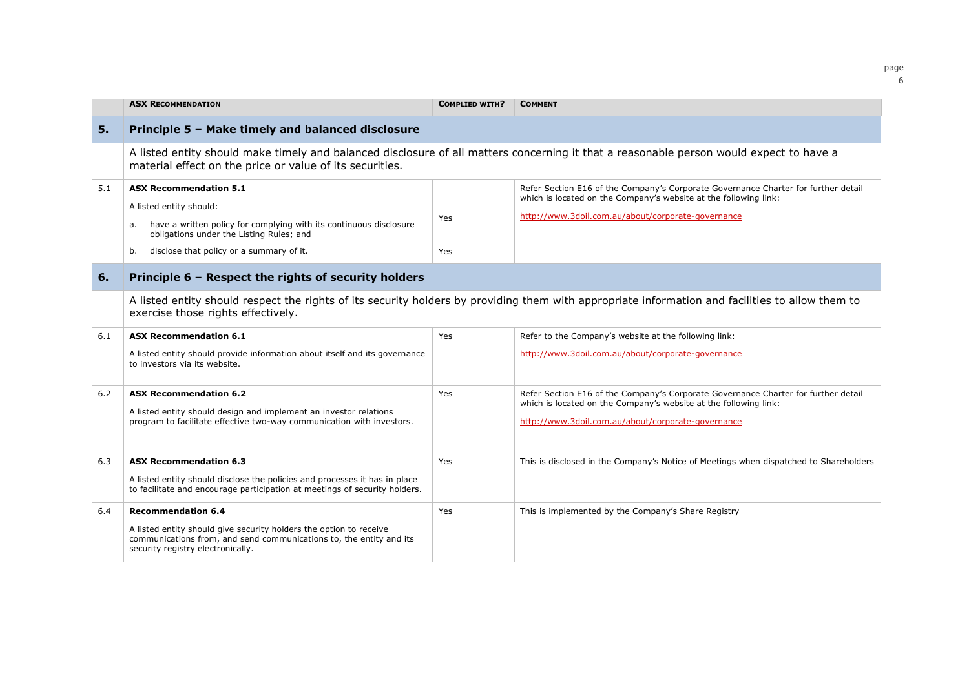|     | <b>ASX RECOMMENDATION</b>                                                                                                                                                                                                          | <b>COMPLIED WITH?</b> | <b>COMMENT</b>                                                                                                                                                                                               |  |  |
|-----|------------------------------------------------------------------------------------------------------------------------------------------------------------------------------------------------------------------------------------|-----------------------|--------------------------------------------------------------------------------------------------------------------------------------------------------------------------------------------------------------|--|--|
| 5.  | Principle 5 - Make timely and balanced disclosure                                                                                                                                                                                  |                       |                                                                                                                                                                                                              |  |  |
|     | A listed entity should make timely and balanced disclosure of all matters concerning it that a reasonable person would expect to have a<br>material effect on the price or value of its securities.                                |                       |                                                                                                                                                                                                              |  |  |
| 5.1 | <b>ASX Recommendation 5.1</b><br>A listed entity should:<br>have a written policy for complying with its continuous disclosure<br>а.<br>obligations under the Listing Rules; and<br>disclose that policy or a summary of it.<br>b. | Yes<br><b>Yes</b>     | Refer Section E16 of the Company's Corporate Governance Charter for further detail<br>which is located on the Company's website at the following link:<br>http://www.3doil.com.au/about/corporate-governance |  |  |
| 6.  | Principle 6 - Respect the rights of security holders                                                                                                                                                                               |                       |                                                                                                                                                                                                              |  |  |
|     | A listed entity should respect the rights of its security holders by providing them with appropriate information and facilities to allow them to<br>exercise those rights effectively.                                             |                       |                                                                                                                                                                                                              |  |  |
| 6.1 | <b>ASX Recommendation 6.1</b>                                                                                                                                                                                                      | Yes                   | Refer to the Company's website at the following link:                                                                                                                                                        |  |  |
|     | A listed entity should provide information about itself and its governance<br>to investors via its website.                                                                                                                        |                       | http://www.3doil.com.au/about/corporate-governance                                                                                                                                                           |  |  |
| 6.2 | <b>ASX Recommendation 6.2</b><br>A listed entity should design and implement an investor relations<br>program to facilitate effective two-way communication with investors.                                                        | <b>Yes</b>            | Refer Section E16 of the Company's Corporate Governance Charter for further detail<br>which is located on the Company's website at the following link:<br>http://www.3doil.com.au/about/corporate-governance |  |  |
| 6.3 | <b>ASX Recommendation 6.3</b><br>A listed entity should disclose the policies and processes it has in place<br>to facilitate and encourage participation at meetings of security holders.                                          | Yes                   | This is disclosed in the Company's Notice of Meetings when dispatched to Shareholders                                                                                                                        |  |  |
| 6.4 | <b>Recommendation 6.4</b><br>A listed entity should give security holders the option to receive<br>communications from, and send communications to, the entity and its<br>security registry electronically.                        | Yes                   | This is implemented by the Company's Share Registry                                                                                                                                                          |  |  |

page 6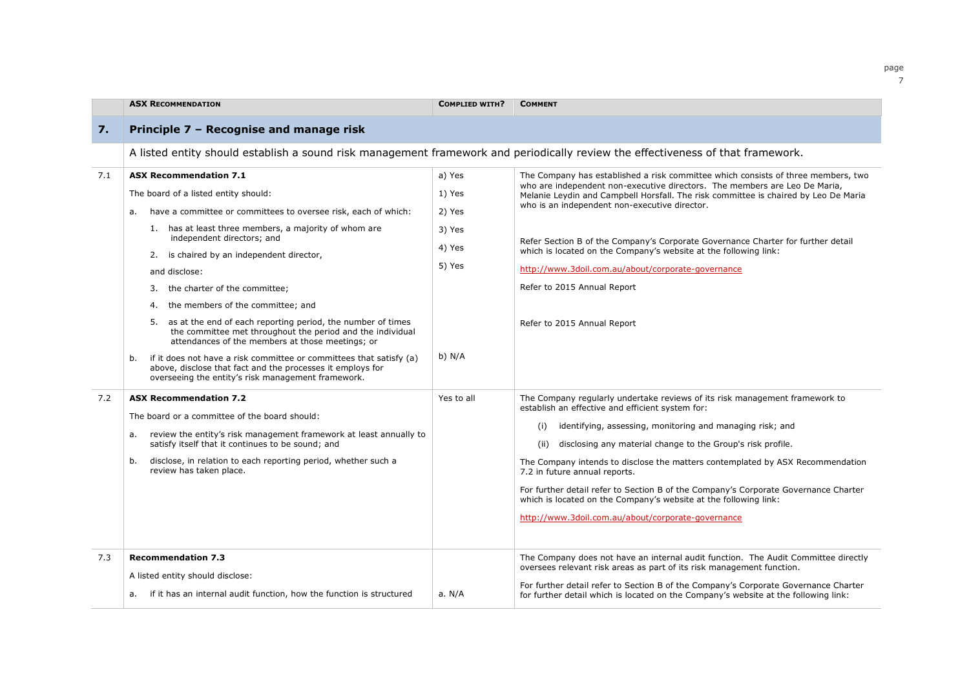|     | <b>ASX RECOMMENDATION</b>                                                                                                                                                                                                                                                                                                                                                                                                                                                                                                                                                                                                                                                                                                                                                    | <b>COMPLIED WITH?</b>                                                | <b>COMMENT</b>                                                                                                                                                                                                                                                                                                                                                                                                                                                                                                                                                                                                 |  |  |
|-----|------------------------------------------------------------------------------------------------------------------------------------------------------------------------------------------------------------------------------------------------------------------------------------------------------------------------------------------------------------------------------------------------------------------------------------------------------------------------------------------------------------------------------------------------------------------------------------------------------------------------------------------------------------------------------------------------------------------------------------------------------------------------------|----------------------------------------------------------------------|----------------------------------------------------------------------------------------------------------------------------------------------------------------------------------------------------------------------------------------------------------------------------------------------------------------------------------------------------------------------------------------------------------------------------------------------------------------------------------------------------------------------------------------------------------------------------------------------------------------|--|--|
| 7.  | Principle 7 - Recognise and manage risk                                                                                                                                                                                                                                                                                                                                                                                                                                                                                                                                                                                                                                                                                                                                      |                                                                      |                                                                                                                                                                                                                                                                                                                                                                                                                                                                                                                                                                                                                |  |  |
|     | A listed entity should establish a sound risk management framework and periodically review the effectiveness of that framework.                                                                                                                                                                                                                                                                                                                                                                                                                                                                                                                                                                                                                                              |                                                                      |                                                                                                                                                                                                                                                                                                                                                                                                                                                                                                                                                                                                                |  |  |
| 7.1 | <b>ASX Recommendation 7.1</b><br>The board of a listed entity should:<br>have a committee or committees to oversee risk, each of which:<br>а.<br>1. has at least three members, a majority of whom are<br>independent directors; and<br>2. is chaired by an independent director,<br>and disclose:<br>the charter of the committee;<br>3.<br>the members of the committee; and<br>4.<br>as at the end of each reporting period, the number of times<br>5.<br>the committee met throughout the period and the individual<br>attendances of the members at those meetings; or<br>if it does not have a risk committee or committees that satisfy (a)<br>b.<br>above, disclose that fact and the processes it employs for<br>overseeing the entity's risk management framework. | a) Yes<br>1) Yes<br>2) Yes<br>3) Yes<br>4) Yes<br>5) Yes<br>$b)$ N/A | The Company has established a risk committee which consists of three members, two<br>who are independent non-executive directors. The members are Leo De Maria,<br>Melanie Leydin and Campbell Horsfall. The risk committee is chaired by Leo De Maria<br>who is an independent non-executive director.<br>Refer Section B of the Company's Corporate Governance Charter for further detail<br>which is located on the Company's website at the following link:<br>http://www.3doil.com.au/about/corporate-governance<br>Refer to 2015 Annual Report<br>Refer to 2015 Annual Report                            |  |  |
| 7.2 | <b>ASX Recommendation 7.2</b><br>The board or a committee of the board should:<br>review the entity's risk management framework at least annually to<br>а.<br>satisfy itself that it continues to be sound; and<br>disclose, in relation to each reporting period, whether such a<br>b.<br>review has taken place.                                                                                                                                                                                                                                                                                                                                                                                                                                                           | Yes to all                                                           | The Company regularly undertake reviews of its risk management framework to<br>establish an effective and efficient system for:<br>identifying, assessing, monitoring and managing risk; and<br>(i)<br>disclosing any material change to the Group's risk profile.<br>(ii)<br>The Company intends to disclose the matters contemplated by ASX Recommendation<br>7.2 in future annual reports.<br>For further detail refer to Section B of the Company's Corporate Governance Charter<br>which is located on the Company's website at the following link:<br>http://www.3doil.com.au/about/corporate-governance |  |  |
| 7.3 | <b>Recommendation 7.3</b><br>A listed entity should disclose:<br>if it has an internal audit function, how the function is structured<br>а.                                                                                                                                                                                                                                                                                                                                                                                                                                                                                                                                                                                                                                  | a. $N/A$                                                             | The Company does not have an internal audit function. The Audit Committee directly<br>oversees relevant risk areas as part of its risk management function.<br>For further detail refer to Section B of the Company's Corporate Governance Charter<br>for further detail which is located on the Company's website at the following link:                                                                                                                                                                                                                                                                      |  |  |

#### page  $\overline{7}$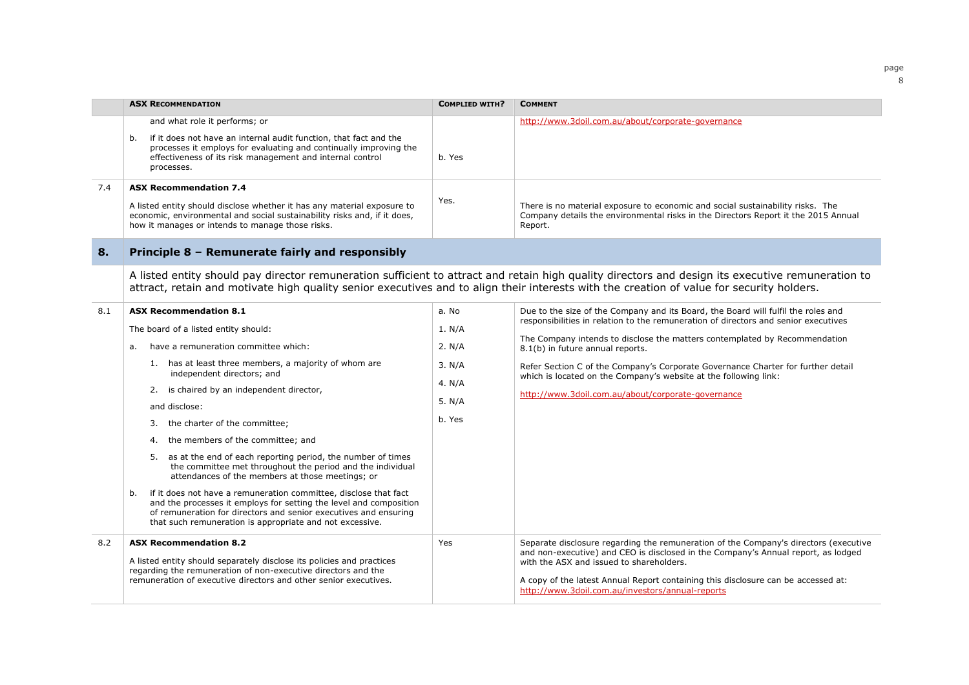|     | <b>ASX RECOMMENDATION</b>                                                                                                                                                                                                                                                                                                                                                                                                                                                                                                                                                                                                                                                                                                                                                                                                            | <b>COMPLIED WITH?</b>                                               | <b>COMMENT</b>                                                                                                                                                                                                                                                                                                                                                                                                                                                                                           |  |
|-----|--------------------------------------------------------------------------------------------------------------------------------------------------------------------------------------------------------------------------------------------------------------------------------------------------------------------------------------------------------------------------------------------------------------------------------------------------------------------------------------------------------------------------------------------------------------------------------------------------------------------------------------------------------------------------------------------------------------------------------------------------------------------------------------------------------------------------------------|---------------------------------------------------------------------|----------------------------------------------------------------------------------------------------------------------------------------------------------------------------------------------------------------------------------------------------------------------------------------------------------------------------------------------------------------------------------------------------------------------------------------------------------------------------------------------------------|--|
|     | and what role it performs; or<br>if it does not have an internal audit function, that fact and the<br>b.<br>processes it employs for evaluating and continually improving the<br>effectiveness of its risk management and internal control<br>processes.                                                                                                                                                                                                                                                                                                                                                                                                                                                                                                                                                                             | b. Yes                                                              | http://www.3doil.com.au/about/corporate-governance                                                                                                                                                                                                                                                                                                                                                                                                                                                       |  |
| 7.4 | <b>ASX Recommendation 7.4</b><br>A listed entity should disclose whether it has any material exposure to<br>economic, environmental and social sustainability risks and, if it does,<br>how it manages or intends to manage those risks.                                                                                                                                                                                                                                                                                                                                                                                                                                                                                                                                                                                             | Yes.                                                                | There is no material exposure to economic and social sustainability risks. The<br>Company details the environmental risks in the Directors Report it the 2015 Annual<br>Report.                                                                                                                                                                                                                                                                                                                          |  |
| 8.  | Principle 8 - Remunerate fairly and responsibly                                                                                                                                                                                                                                                                                                                                                                                                                                                                                                                                                                                                                                                                                                                                                                                      |                                                                     |                                                                                                                                                                                                                                                                                                                                                                                                                                                                                                          |  |
|     |                                                                                                                                                                                                                                                                                                                                                                                                                                                                                                                                                                                                                                                                                                                                                                                                                                      |                                                                     | A listed entity should pay director remuneration sufficient to attract and retain high quality directors and design its executive remuneration to<br>attract, retain and motivate high quality senior executives and to align their interests with the creation of value for security holders.                                                                                                                                                                                                           |  |
| 8.1 | <b>ASX Recommendation 8.1</b><br>The board of a listed entity should:<br>have a remuneration committee which:<br>a.<br>1. has at least three members, a majority of whom are<br>independent directors; and<br>is chaired by an independent director,<br>2.<br>and disclose:<br>the charter of the committee;<br>3.<br>the members of the committee; and<br>4.<br>as at the end of each reporting period, the number of times<br>5.<br>the committee met throughout the period and the individual<br>attendances of the members at those meetings; or<br>if it does not have a remuneration committee, disclose that fact<br>b.<br>and the processes it employs for setting the level and composition<br>of remuneration for directors and senior executives and ensuring<br>that such remuneration is appropriate and not excessive. | a. No<br>1. N/A<br>2. N/A<br>3. N/A<br>4. N/A<br>5. $N/A$<br>b. Yes | Due to the size of the Company and its Board, the Board will fulfil the roles and<br>responsibilities in relation to the remuneration of directors and senior executives<br>The Company intends to disclose the matters contemplated by Recommendation<br>8.1(b) in future annual reports.<br>Refer Section C of the Company's Corporate Governance Charter for further detail<br>which is located on the Company's website at the following link:<br>http://www.3doil.com.au/about/corporate-governance |  |
| 8.2 | <b>ASX Recommendation 8.2</b><br>A listed entity should separately disclose its policies and practices<br>regarding the remuneration of non-executive directors and the<br>remuneration of executive directors and other senior executives.                                                                                                                                                                                                                                                                                                                                                                                                                                                                                                                                                                                          | Yes                                                                 | Separate disclosure regarding the remuneration of the Company's directors (executive<br>and non-executive) and CEO is disclosed in the Company's Annual report, as lodged<br>with the ASX and issued to shareholders.<br>A copy of the latest Annual Report containing this disclosure can be accessed at:<br>http://www.3doil.com.au/investors/annual-reports                                                                                                                                           |  |